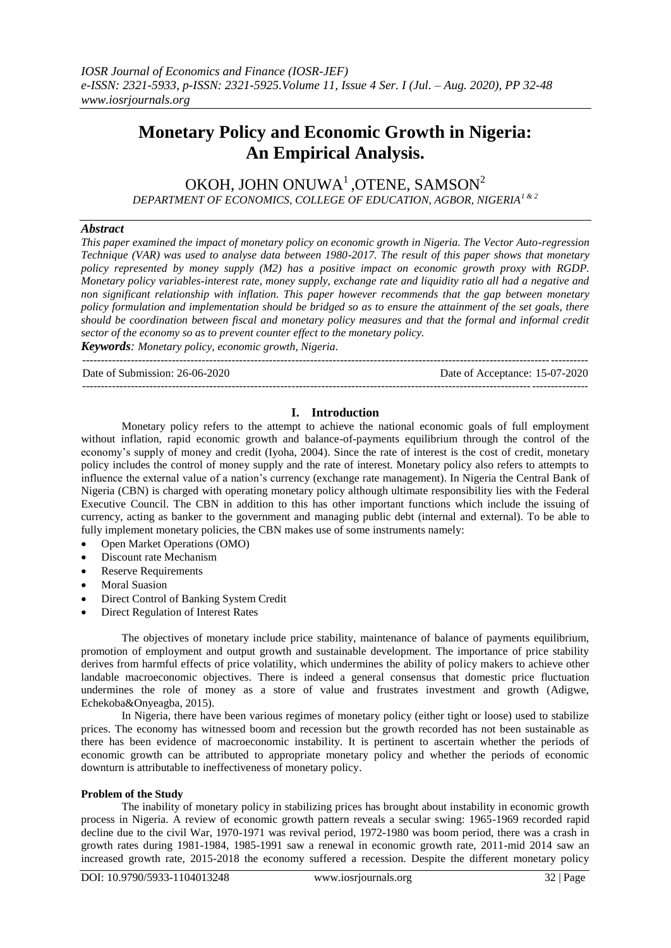# **Monetary Policy and Economic Growth in Nigeria: An Empirical Analysis.**

OKOH, JOHN ONUWA $^1$ ,OTENE, SAMSON $^2$ *DEPARTMENT OF ECONOMICS, COLLEGE OF EDUCATION, AGBOR, NIGERIA1 & 2*

## *Abstract*

*This paper examined the impact of monetary policy on economic growth in Nigeria. The Vector Auto-regression Technique (VAR) was used to analyse data between 1980-2017. The result of this paper shows that monetary policy represented by money supply (M2) has a positive impact on economic growth proxy with RGDP. Monetary policy variables-interest rate, money supply, exchange rate and liquidity ratio all had a negative and non significant relationship with inflation. This paper however recommends that the gap between monetary policy formulation and implementation should be bridged so as to ensure the attainment of the set goals, there should be coordination between fiscal and monetary policy measures and that the formal and informal credit sector of the economy so as to prevent counter effect to the monetary policy.* 

*Keywords: Monetary policy, economic growth, Nigeria.* ---------------------------------------------------------------------------------------------------------------------------------------

Date of Submission: 26-06-2020 Date of Acceptance: 15-07-2020 ---------------------------------------------------------------------------------------------------------------------------------------

# **I. Introduction**

Monetary policy refers to the attempt to achieve the national economic goals of full employment without inflation, rapid economic growth and balance-of-payments equilibrium through the control of the economy's supply of money and credit (Iyoha, 2004). Since the rate of interest is the cost of credit, monetary policy includes the control of money supply and the rate of interest. Monetary policy also refers to attempts to influence the external value of a nation's currency (exchange rate management). In Nigeria the Central Bank of Nigeria (CBN) is charged with operating monetary policy although ultimate responsibility lies with the Federal Executive Council. The CBN in addition to this has other important functions which include the issuing of currency, acting as banker to the government and managing public debt (internal and external). To be able to fully implement monetary policies, the CBN makes use of some instruments namely:

- Open Market Operations (OMO)
- Discount rate Mechanism
- Reserve Requirements
- Moral Suasion
- Direct Control of Banking System Credit
- Direct Regulation of Interest Rates

The objectives of monetary include price stability, maintenance of balance of payments equilibrium, promotion of employment and output growth and sustainable development. The importance of price stability derives from harmful effects of price volatility, which undermines the ability of policy makers to achieve other landable macroeconomic objectives. There is indeed a general consensus that domestic price fluctuation undermines the role of money as a store of value and frustrates investment and growth (Adigwe, Echekoba&Onyeagba, 2015).

In Nigeria, there have been various regimes of monetary policy (either tight or loose) used to stabilize prices. The economy has witnessed boom and recession but the growth recorded has not been sustainable as there has been evidence of macroeconomic instability. It is pertinent to ascertain whether the periods of economic growth can be attributed to appropriate monetary policy and whether the periods of economic downturn is attributable to ineffectiveness of monetary policy.

## **Problem of the Study**

The inability of monetary policy in stabilizing prices has brought about instability in economic growth process in Nigeria. A review of economic growth pattern reveals a secular swing: 1965-1969 recorded rapid decline due to the civil War, 1970-1971 was revival period, 1972-1980 was boom period, there was a crash in growth rates during 1981-1984, 1985-1991 saw a renewal in economic growth rate, 2011-mid 2014 saw an increased growth rate, 2015-2018 the economy suffered a recession. Despite the different monetary policy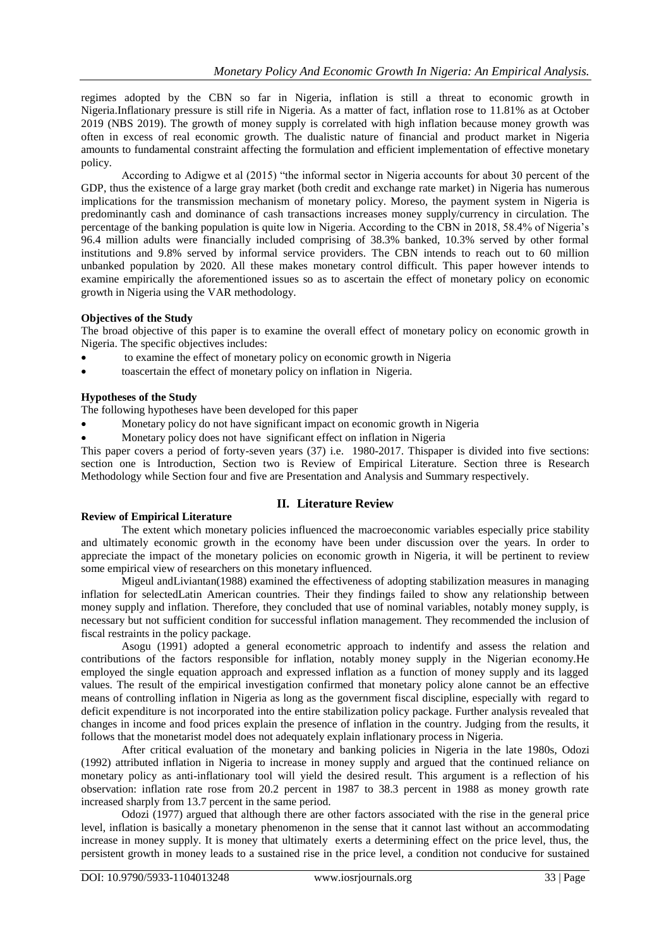regimes adopted by the CBN so far in Nigeria, inflation is still a threat to economic growth in Nigeria.Inflationary pressure is still rife in Nigeria. As a matter of fact, inflation rose to 11.81% as at October 2019 (NBS 2019). The growth of money supply is correlated with high inflation because money growth was often in excess of real economic growth. The dualistic nature of financial and product market in Nigeria amounts to fundamental constraint affecting the formulation and efficient implementation of effective monetary policy.

According to Adigwe et al (2015) "the informal sector in Nigeria accounts for about 30 percent of the GDP, thus the existence of a large gray market (both credit and exchange rate market) in Nigeria has numerous implications for the transmission mechanism of monetary policy. Moreso, the payment system in Nigeria is predominantly cash and dominance of cash transactions increases money supply/currency in circulation. The percentage of the banking population is quite low in Nigeria. According to the CBN in 2018, 58.4% of Nigeria's 96.4 million adults were financially included comprising of 38.3% banked, 10.3% served by other formal institutions and 9.8% served by informal service providers. The CBN intends to reach out to 60 million unbanked population by 2020. All these makes monetary control difficult. This paper however intends to examine empirically the aforementioned issues so as to ascertain the effect of monetary policy on economic growth in Nigeria using the VAR methodology.

# **Objectives of the Study**

The broad objective of this paper is to examine the overall effect of monetary policy on economic growth in Nigeria. The specific objectives includes:

- to examine the effect of monetary policy on economic growth in Nigeria
- toascertain the effect of monetary policy on inflation in Nigeria.

# **Hypotheses of the Study**

The following hypotheses have been developed for this paper

- Monetary policy do not have significant impact on economic growth in Nigeria
- Monetary policy does not have significant effect on inflation in Nigeria

This paper covers a period of forty-seven years (37) i.e. 1980-2017. Thispaper is divided into five sections: section one is Introduction, Section two is Review of Empirical Literature. Section three is Research Methodology while Section four and five are Presentation and Analysis and Summary respectively.

# **II. Literature Review**

# **Review of Empirical Literature**

The extent which monetary policies influenced the macroeconomic variables especially price stability and ultimately economic growth in the economy have been under discussion over the years. In order to appreciate the impact of the monetary policies on economic growth in Nigeria, it will be pertinent to review some empirical view of researchers on this monetary influenced.

Migeul andLiviantan(1988) examined the effectiveness of adopting stabilization measures in managing inflation for selectedLatin American countries. Their they findings failed to show any relationship between money supply and inflation. Therefore, they concluded that use of nominal variables, notably money supply, is necessary but not sufficient condition for successful inflation management. They recommended the inclusion of fiscal restraints in the policy package.

Asogu (1991) adopted a general econometric approach to indentify and assess the relation and contributions of the factors responsible for inflation, notably money supply in the Nigerian economy.He employed the single equation approach and expressed inflation as a function of money supply and its lagged values. The result of the empirical investigation confirmed that monetary policy alone cannot be an effective means of controlling inflation in Nigeria as long as the government fiscal discipline, especially with regard to deficit expenditure is not incorporated into the entire stabilization policy package. Further analysis revealed that changes in income and food prices explain the presence of inflation in the country. Judging from the results, it follows that the monetarist model does not adequately explain inflationary process in Nigeria.

After critical evaluation of the monetary and banking policies in Nigeria in the late 1980s, Odozi (1992) attributed inflation in Nigeria to increase in money supply and argued that the continued reliance on monetary policy as anti-inflationary tool will yield the desired result. This argument is a reflection of his observation: inflation rate rose from 20.2 percent in 1987 to 38.3 percent in 1988 as money growth rate increased sharply from 13.7 percent in the same period.

Odozi (1977) argued that although there are other factors associated with the rise in the general price level, inflation is basically a monetary phenomenon in the sense that it cannot last without an accommodating increase in money supply. It is money that ultimately exerts a determining effect on the price level, thus, the persistent growth in money leads to a sustained rise in the price level, a condition not conducive for sustained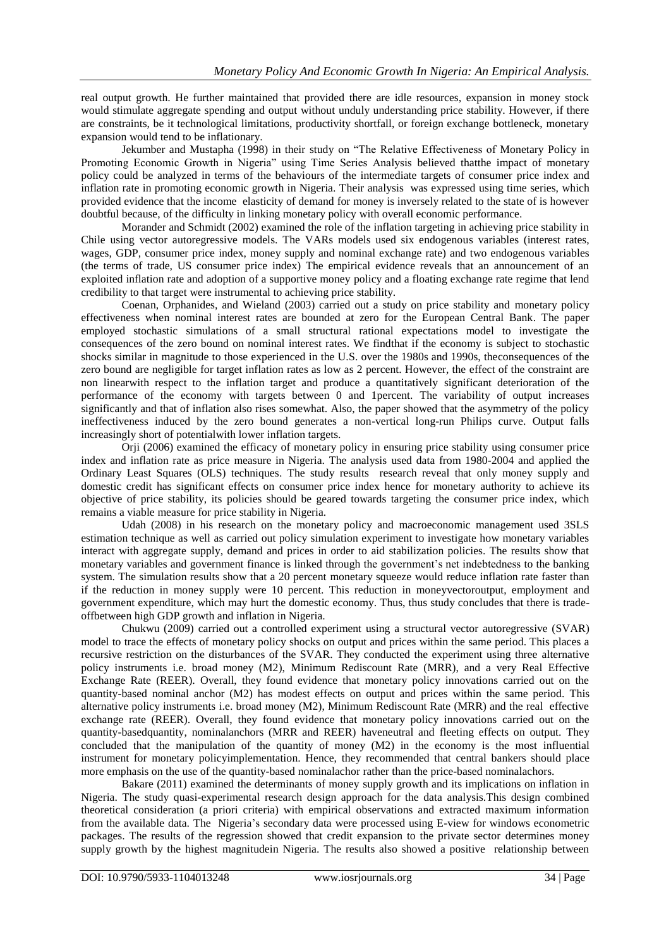real output growth. He further maintained that provided there are idle resources, expansion in money stock would stimulate aggregate spending and output without unduly understanding price stability. However, if there are constraints, be it technological limitations, productivity shortfall, or foreign exchange bottleneck, monetary expansion would tend to be inflationary.

Jekumber and Mustapha (1998) in their study on "The Relative Effectiveness of Monetary Policy in Promoting Economic Growth in Nigeria" using Time Series Analysis believed thatthe impact of monetary policy could be analyzed in terms of the behaviours of the intermediate targets of consumer price index and inflation rate in promoting economic growth in Nigeria. Their analysis was expressed using time series, which provided evidence that the income elasticity of demand for money is inversely related to the state of is however doubtful because, of the difficulty in linking monetary policy with overall economic performance.

Morander and Schmidt (2002) examined the role of the inflation targeting in achieving price stability in Chile using vector autoregressive models. The VARs models used six endogenous variables (interest rates, wages, GDP, consumer price index, money supply and nominal exchange rate) and two endogenous variables (the terms of trade, US consumer price index) The empirical evidence reveals that an announcement of an exploited inflation rate and adoption of a supportive money policy and a floating exchange rate regime that lend credibility to that target were instrumental to achieving price stability.

Coenan, Orphanides, and Wieland (2003) carried out a study on price stability and monetary policy effectiveness when nominal interest rates are bounded at zero for the European Central Bank. The paper employed stochastic simulations of a small structural rational expectations model to investigate the consequences of the zero bound on nominal interest rates. We findthat if the economy is subject to stochastic shocks similar in magnitude to those experienced in the U.S. over the 1980s and 1990s, theconsequences of the zero bound are negligible for target inflation rates as low as 2 percent. However, the effect of the constraint are non linearwith respect to the inflation target and produce a quantitatively significant deterioration of the performance of the economy with targets between 0 and 1percent. The variability of output increases significantly and that of inflation also rises somewhat. Also, the paper showed that the asymmetry of the policy ineffectiveness induced by the zero bound generates a non-vertical long-run Philips curve. Output falls increasingly short of potentialwith lower inflation targets.

Orji (2006) examined the efficacy of monetary policy in ensuring price stability using consumer price index and inflation rate as price measure in Nigeria. The analysis used data from 1980-2004 and applied the Ordinary Least Squares (OLS) techniques. The study results research reveal that only money supply and domestic credit has significant effects on consumer price index hence for monetary authority to achieve its objective of price stability, its policies should be geared towards targeting the consumer price index, which remains a viable measure for price stability in Nigeria.

Udah (2008) in his research on the monetary policy and macroeconomic management used 3SLS estimation technique as well as carried out policy simulation experiment to investigate how monetary variables interact with aggregate supply, demand and prices in order to aid stabilization policies. The results show that monetary variables and government finance is linked through the government's net indebtedness to the banking system. The simulation results show that a 20 percent monetary squeeze would reduce inflation rate faster than if the reduction in money supply were 10 percent. This reduction in moneyvectoroutput, employment and government expenditure, which may hurt the domestic economy. Thus, thus study concludes that there is tradeoffbetween high GDP growth and inflation in Nigeria.

Chukwu (2009) carried out a controlled experiment using a structural vector autoregressive (SVAR) model to trace the effects of monetary policy shocks on output and prices within the same period. This places a recursive restriction on the disturbances of the SVAR. They conducted the experiment using three alternative policy instruments i.e. broad money (M2), Minimum Rediscount Rate (MRR), and a very Real Effective Exchange Rate (REER). Overall, they found evidence that monetary policy innovations carried out on the quantity-based nominal anchor (M2) has modest effects on output and prices within the same period. This alternative policy instruments i.e. broad money (M2), Minimum Rediscount Rate (MRR) and the real effective exchange rate (REER). Overall, they found evidence that monetary policy innovations carried out on the quantity-basedquantity, nominalanchors (MRR and REER) haveneutral and fleeting effects on output. They concluded that the manipulation of the quantity of money (M2) in the economy is the most influential instrument for monetary policyimplementation. Hence, they recommended that central bankers should place more emphasis on the use of the quantity-based nominalachor rather than the price-based nominalachors.

Bakare (2011) examined the determinants of money supply growth and its implications on inflation in Nigeria. The study quasi-experimental research design approach for the data analysis.This design combined theoretical consideration (a priori criteria) with empirical observations and extracted maximum information from the available data. The Nigeria's secondary data were processed using E-view for windows econometric packages. The results of the regression showed that credit expansion to the private sector determines money supply growth by the highest magnitudein Nigeria. The results also showed a positive relationship between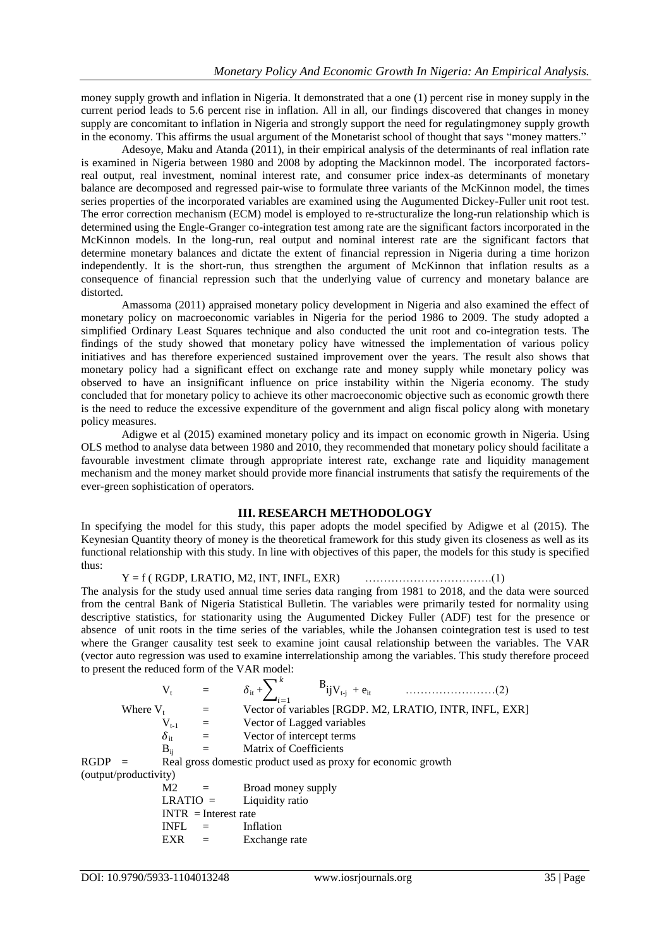money supply growth and inflation in Nigeria. It demonstrated that a one (1) percent rise in money supply in the current period leads to 5.6 percent rise in inflation. All in all, our findings discovered that changes in money supply are concomitant to inflation in Nigeria and strongly support the need for regulatingmoney supply growth in the economy. This affirms the usual argument of the Monetarist school of thought that says "money matters."

Adesoye, Maku and Atanda (2011), in their empirical analysis of the determinants of real inflation rate is examined in Nigeria between 1980 and 2008 by adopting the Mackinnon model. The incorporated factorsreal output, real investment, nominal interest rate, and consumer price index-as determinants of monetary balance are decomposed and regressed pair-wise to formulate three variants of the McKinnon model, the times series properties of the incorporated variables are examined using the Augumented Dickey-Fuller unit root test. The error correction mechanism (ECM) model is employed to re-structuralize the long-run relationship which is determined using the Engle-Granger co-integration test among rate are the significant factors incorporated in the McKinnon models. In the long-run, real output and nominal interest rate are the significant factors that determine monetary balances and dictate the extent of financial repression in Nigeria during a time horizon independently. It is the short-run, thus strengthen the argument of McKinnon that inflation results as a consequence of financial repression such that the underlying value of currency and monetary balance are distorted.

Amassoma (2011) appraised monetary policy development in Nigeria and also examined the effect of monetary policy on macroeconomic variables in Nigeria for the period 1986 to 2009. The study adopted a simplified Ordinary Least Squares technique and also conducted the unit root and co-integration tests. The findings of the study showed that monetary policy have witnessed the implementation of various policy initiatives and has therefore experienced sustained improvement over the years. The result also shows that monetary policy had a significant effect on exchange rate and money supply while monetary policy was observed to have an insignificant influence on price instability within the Nigeria economy. The study concluded that for monetary policy to achieve its other macroeconomic objective such as economic growth there is the need to reduce the excessive expenditure of the government and align fiscal policy along with monetary policy measures.

Adigwe et al (2015) examined monetary policy and its impact on economic growth in Nigeria. Using OLS method to analyse data between 1980 and 2010, they recommended that monetary policy should facilitate a favourable investment climate through appropriate interest rate, exchange rate and liquidity management mechanism and the money market should provide more financial instruments that satisfy the requirements of the ever-green sophistication of operators.

# **III. RESEARCH METHODOLOGY**

In specifying the model for this study, this paper adopts the model specified by Adigwe et al (2015). The Keynesian Quantity theory of money is the theoretical framework for this study given its closeness as well as its functional relationship with this study. In line with objectives of this paper, the models for this study is specified thus:

Y = f ( RGDP, LRATIO, M2, INT, INFL, EXR) …………………………….(1) The analysis for the study used annual time series data ranging from 1981 to 2018, and the data were sourced from the central Bank of Nigeria Statistical Bulletin. The variables were primarily tested for normality using descriptive statistics, for stationarity using the Augumented Dickey Fuller (ADF) test for the presence or absence of unit roots in the time series of the variables, while the Johansen cointegration test is used to test where the Granger causality test seek to examine joint causal relationship between the variables. The VAR (vector auto regression was used to examine interrelationship among the variables. This study therefore proceed to present the reduced form of the VAR model:

|                       | $\rm V_{t}$            |                                                                                                                                                                                                                                                                                                                                                                                              | $j = 1$                                                       |                                                         |
|-----------------------|------------------------|----------------------------------------------------------------------------------------------------------------------------------------------------------------------------------------------------------------------------------------------------------------------------------------------------------------------------------------------------------------------------------------------|---------------------------------------------------------------|---------------------------------------------------------|
| Where $V_{t}$         |                        | $=$                                                                                                                                                                                                                                                                                                                                                                                          |                                                               | Vector of variables [RGDP. M2, LRATIO, INTR, INFL, EXR] |
|                       | ${\rm V_{t\text{-}1}}$ | $=$                                                                                                                                                                                                                                                                                                                                                                                          | Vector of Lagged variables                                    |                                                         |
|                       | $\delta_{\rm it}$      | $\frac{1}{2} \frac{1}{2} \frac{1}{2} \frac{1}{2} \frac{1}{2} \frac{1}{2} \frac{1}{2} \frac{1}{2} \frac{1}{2} \frac{1}{2} \frac{1}{2} \frac{1}{2} \frac{1}{2} \frac{1}{2} \frac{1}{2} \frac{1}{2} \frac{1}{2} \frac{1}{2} \frac{1}{2} \frac{1}{2} \frac{1}{2} \frac{1}{2} \frac{1}{2} \frac{1}{2} \frac{1}{2} \frac{1}{2} \frac{1}{2} \frac{1}{2} \frac{1}{2} \frac{1}{2} \frac{1}{2} \frac{$ | Vector of intercept terms                                     |                                                         |
|                       | $B_{ii}$               | $=$                                                                                                                                                                                                                                                                                                                                                                                          | Matrix of Coefficients                                        |                                                         |
| <b>RGDP</b>           |                        |                                                                                                                                                                                                                                                                                                                                                                                              | Real gross domestic product used as proxy for economic growth |                                                         |
| (output/productivity) |                        |                                                                                                                                                                                                                                                                                                                                                                                              |                                                               |                                                         |
|                       | M <sub>2</sub>         |                                                                                                                                                                                                                                                                                                                                                                                              | Broad money supply                                            |                                                         |
|                       | $LRATIO =$             |                                                                                                                                                                                                                                                                                                                                                                                              | Liquidity ratio                                               |                                                         |
|                       |                        | $INTR = Interest rate$                                                                                                                                                                                                                                                                                                                                                                       |                                                               |                                                         |
|                       | <b>INFL</b>            |                                                                                                                                                                                                                                                                                                                                                                                              | Inflation                                                     |                                                         |
|                       | EXR                    |                                                                                                                                                                                                                                                                                                                                                                                              | Exchange rate                                                 |                                                         |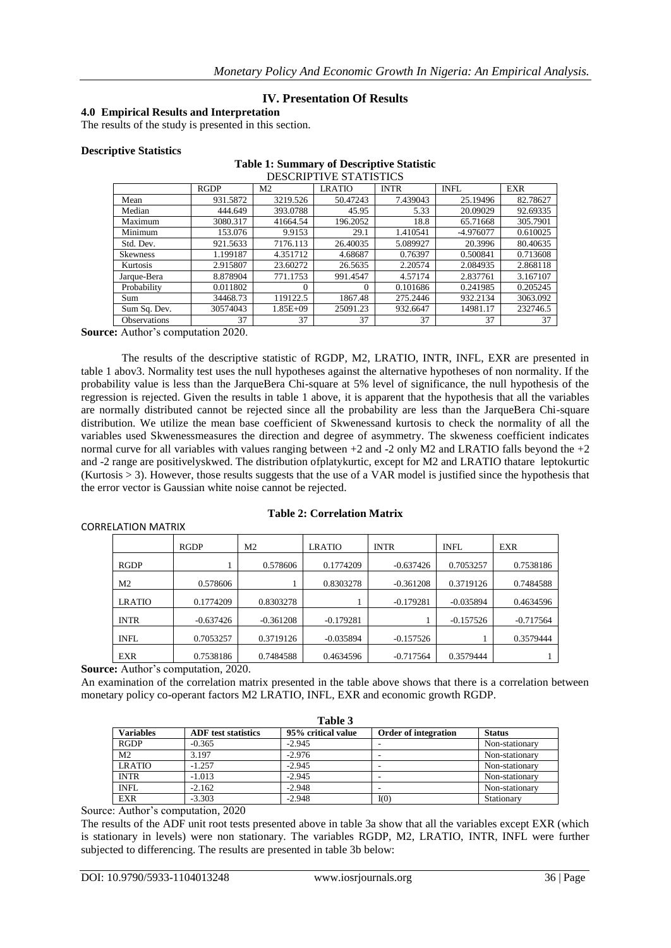# **IV. Presentation Of Results**

## **4.0 Empirical Results and Interpretation**

The results of the study is presented in this section.

#### **Descriptive Statistics**

#### **Table 1: Summary of Descriptive Statistic** DESCRIPTIVE STATISTICS

|                     | <b>RGDP</b> | M <sub>2</sub> | <b>LRATIO</b> | <b>INTR</b> | <b>INFL</b> | <b>EXR</b> |
|---------------------|-------------|----------------|---------------|-------------|-------------|------------|
| Mean                | 931.5872    | 3219.526       | 50.47243      | 7.439043    | 25.19496    | 82.78627   |
| Median              | 444.649     | 393.0788       | 45.95         | 5.33        | 20.09029    | 92.69335   |
| Maximum             | 3080.317    | 41664.54       | 196.2052      | 18.8        | 65.71668    | 305.7901   |
| Minimum             | 153.076     | 9.9153         | 29.1          | 1.410541    | -4.976077   | 0.610025   |
| Std. Dev.           | 921.5633    | 7176.113       | 26.40035      | 5.089927    | 20.3996     | 80.40635   |
| <b>Skewness</b>     | 1.199187    | 4.351712       | 4.68687       | 0.76397     | 0.500841    | 0.713608   |
| Kurtosis            | 2.915807    | 23.60272       | 26.5635       | 2.20574     | 2.084935    | 2.868118   |
| Jarque-Bera         | 8.878904    | 771.1753       | 991.4547      | 4.57174     | 2.837761    | 3.167107   |
| Probability         | 0.011802    | $\theta$       | $\Omega$      | 0.101686    | 0.241985    | 0.205245   |
| Sum                 | 34468.73    | 119122.5       | 1867.48       | 275.2446    | 932.2134    | 3063.092   |
| Sum Sq. Dev.        | 30574043    | $1.85E + 09$   | 25091.23      | 932.6647    | 14981.17    | 232746.5   |
| <b>Observations</b> | 37          | 37             | 37            | 37          | 37          | 37         |

**Source:** Author's computation 2020.

The results of the descriptive statistic of RGDP, M2, LRATIO, INTR, INFL, EXR are presented in table 1 abov3. Normality test uses the null hypotheses against the alternative hypotheses of non normality. If the probability value is less than the JarqueBera Chi-square at 5% level of significance, the null hypothesis of the regression is rejected. Given the results in table 1 above, it is apparent that the hypothesis that all the variables are normally distributed cannot be rejected since all the probability are less than the JarqueBera Chi-square distribution. We utilize the mean base coefficient of Skwenessand kurtosis to check the normality of all the variables used Skwenessmeasures the direction and degree of asymmetry. The skweness coefficient indicates normal curve for all variables with values ranging between  $+2$  and  $-2$  only M2 and LRATIO falls beyond the  $+2$ and -2 range are positivelyskwed. The distribution ofplatykurtic, except for M2 and LRATIO thatare leptokurtic (Kurtosis  $> 3$ ). However, those results suggests that the use of a VAR model is justified since the hypothesis that the error vector is Gaussian white noise cannot be rejected.

## **Table 2: Correlation Matrix**

|                | RGDP        | M <sub>2</sub> | <b>LRATIO</b> | <b>INTR</b> | <b>INFL</b> | <b>EXR</b>  |
|----------------|-------------|----------------|---------------|-------------|-------------|-------------|
| <b>RGDP</b>    |             | 0.578606       | 0.1774209     | $-0.637426$ | 0.7053257   | 0.7538186   |
| M <sub>2</sub> | 0.578606    |                | 0.8303278     | $-0.361208$ | 0.3719126   | 0.7484588   |
| <b>LRATIO</b>  | 0.1774209   | 0.8303278      |               | $-0.179281$ | $-0.035894$ | 0.4634596   |
| <b>INTR</b>    | $-0.637426$ | $-0.361208$    | $-0.179281$   |             | $-0.157526$ | $-0.717564$ |
| <b>INFL</b>    | 0.7053257   | 0.3719126      | $-0.035894$   | $-0.157526$ |             | 0.3579444   |
| <b>EXR</b>     | 0.7538186   | 0.7484588      | 0.4634596     | $-0.717564$ | 0.3579444   |             |

**Source:** Author's computation, 2020.

CORRELATION MATRIX

An examination of the correlation matrix presented in the table above shows that there is a correlation between monetary policy co-operant factors M2 LRATIO, INFL, EXR and economic growth RGDP.

| anı |  |
|-----|--|
|-----|--|

| $\cdots$         |                            |                    |                             |                |  |  |  |
|------------------|----------------------------|--------------------|-----------------------------|----------------|--|--|--|
| <b>Variables</b> | <b>ADF</b> test statistics | 95% critical value | <b>Order of integration</b> | <b>Status</b>  |  |  |  |
| <b>RGDP</b>      | $-0.365$                   | $-2.945$           |                             | Non-stationary |  |  |  |
| M <sub>2</sub>   | 3.197                      | $-2.976$           |                             | Non-stationary |  |  |  |
| <b>LRATIO</b>    | $-1.257$                   | $-2.945$           |                             | Non-stationary |  |  |  |
| <b>INTR</b>      | $-1.013$                   | $-2.945$           |                             | Non-stationary |  |  |  |
| <b>INFL</b>      | $-2.162$                   | $-2.948$           |                             | Non-stationary |  |  |  |
| <b>EXR</b>       | $-3.303$                   | $-2.948$           | I(0)                        | Stationary     |  |  |  |

Source: Author's computation, 2020

The results of the ADF unit root tests presented above in table 3a show that all the variables except EXR (which is stationary in levels) were non stationary. The variables RGDP, M2, LRATIO, INTR, INFL were further subjected to differencing. The results are presented in table 3b below: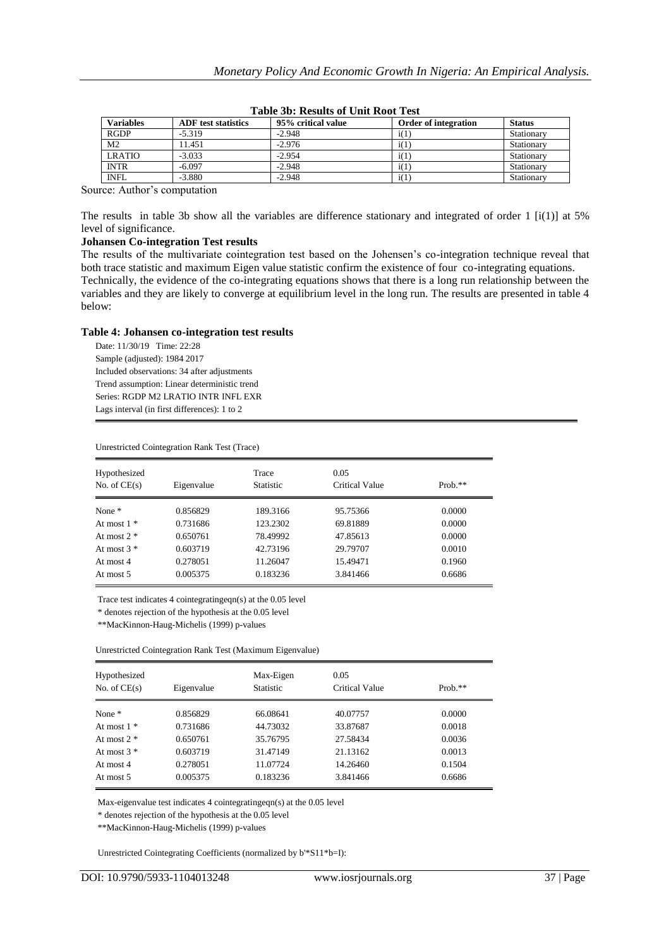| <b>Variables</b> | <b>ADF</b> test statistics | 95% critical value | <b>Order of integration</b> | <b>Status</b> |
|------------------|----------------------------|--------------------|-----------------------------|---------------|
| <b>RGDP</b>      | $-5.319$                   | $-2.948$           | i(1)                        | Stationary    |
| M <sub>2</sub>   | 11.451                     | $-2.976$           | i(1)                        | Stationary    |
| <b>LRATIO</b>    | $-3.033$                   | $-2.954$           | i(1)                        | Stationary    |
| <b>INTR</b>      | $-6.097$                   | $-2.948$           | i(1)                        | Stationary    |
| <b>INFL</b>      | $-3.880$                   | $-2.948$           | i(1)                        | Stationary    |

| Table 3b: Results of Unit Root Test |  |
|-------------------------------------|--|
|-------------------------------------|--|

Source: Author's computation

The results in table 3b show all the variables are difference stationary and integrated of order 1  $[i(1)]$  at 5% level of significance.

## **Johansen Co-integration Test results**

The results of the multivariate cointegration test based on the Johensen's co-integration technique reveal that both trace statistic and maximum Eigen value statistic confirm the existence of four co-integrating equations. Technically, the evidence of the co-integrating equations shows that there is a long run relationship between the variables and they are likely to converge at equilibrium level in the long run. The results are presented in table 4 below:

## **Table 4: Johansen co-integration test results**

Date: 11/30/19 Time: 22:28 Sample (adjusted): 1984 2017 Included observations: 34 after adjustments Trend assumption: Linear deterministic trend Series: RGDP M2 LRATIO INTR INFL EXR Lags interval (in first differences): 1 to 2

| Hypothesized<br>No. of $CE(s)$ | Eigenvalue | Trace<br><b>Statistic</b> | 0.05<br>Critical Value | $Prob.**$ |
|--------------------------------|------------|---------------------------|------------------------|-----------|
|                                |            |                           |                        |           |
| None $*$                       | 0.856829   | 189.3166                  | 95.75366               | 0.0000    |
| At most $1 *$                  | 0.731686   | 123.2302                  | 69.81889               | 0.0000    |
| At most $2 *$                  | 0.650761   | 78.49992                  | 47.85613               | 0.0000    |
| At most $3 *$                  | 0.603719   | 42.73196                  | 29.79707               | 0.0010    |
| At most 4                      | 0.278051   | 11.26047                  | 15.49471               | 0.1960    |
| At most 5                      | 0.005375   | 0.183236                  | 3.841466               | 0.6686    |

Unrestricted Cointegration Rank Test (Trace)

Trace test indicates 4 cointegratingeqn(s) at the 0.05 level

\* denotes rejection of the hypothesis at the 0.05 level

\*\*MacKinnon-Haug-Michelis (1999) p-values

Unrestricted Cointegration Rank Test (Maximum Eigenvalue)

| Hypothesized<br>No. of $CE(s)$ | Eigenvalue | Max-Eigen<br><b>Statistic</b> | 0.05<br>Critical Value | Prob. $**$ |
|--------------------------------|------------|-------------------------------|------------------------|------------|
| None $*$                       | 0.856829   | 66.08641                      | 40.07757               | 0.0000     |
| At most $1 *$                  | 0.731686   | 44.73032                      | 33.87687               | 0.0018     |
| At most $2 *$                  | 0.650761   | 35.76795                      | 27.58434               | 0.0036     |
| At most $3 *$                  | 0.603719   | 31.47149                      | 21.13162               | 0.0013     |
| At most 4                      | 0.278051   | 11.07724                      | 14.26460               | 0.1504     |
| At most 5                      | 0.005375   | 0.183236                      | 3.841466               | 0.6686     |

Max-eigenvalue test indicates 4 cointegratingeqn(s) at the 0.05 level

\* denotes rejection of the hypothesis at the 0.05 level

\*\*MacKinnon-Haug-Michelis (1999) p-values

Unrestricted Cointegrating Coefficients (normalized by b'\*S11\*b=I):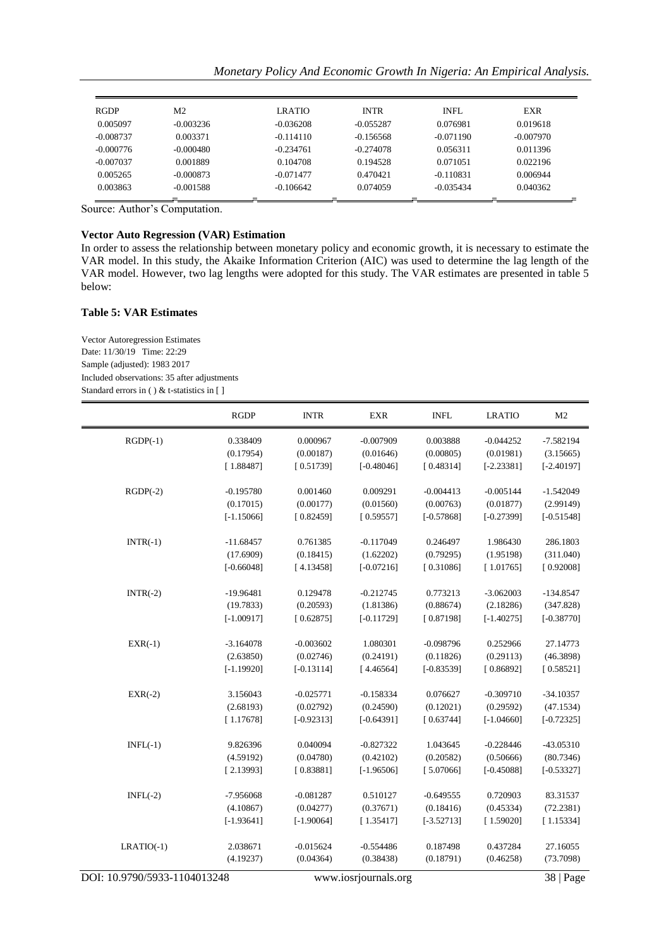|  | Monetary Policy And Economic Growth In Nigeria: An Empirical Analysis. |  |  |  |  |  |  |  |  |  |
|--|------------------------------------------------------------------------|--|--|--|--|--|--|--|--|--|
|--|------------------------------------------------------------------------|--|--|--|--|--|--|--|--|--|

| <b>RGDP</b> | M <sub>2</sub> | <b>LRATIO</b> | <b>INTR</b> | INFL        | <b>EXR</b>  |
|-------------|----------------|---------------|-------------|-------------|-------------|
| 0.005097    | $-0.003236$    | $-0.036208$   | $-0.055287$ | 0.076981    | 0.019618    |
| $-0.008737$ | 0.003371       | $-0.114110$   | $-0.156568$ | $-0.071190$ | $-0.007970$ |
| $-0.000776$ | $-0.000480$    | $-0.234761$   | $-0.274078$ | 0.056311    | 0.011396    |
| $-0.007037$ | 0.001889       | 0.104708      | 0.194528    | 0.071051    | 0.022196    |
| 0.005265    | $-0.000873$    | $-0.071477$   | 0.470421    | $-0.110831$ | 0.006944    |
| 0.003863    | $-0.001588$    | $-0.106642$   | 0.074059    | $-0.035434$ | 0.040362    |
|             |                |               |             |             |             |

Source: Author's Computation.

#### **Vector Auto Regression (VAR) Estimation**

In order to assess the relationship between monetary policy and economic growth, it is necessary to estimate the VAR model. In this study, the Akaike Information Criterion (AIC) was used to determine the lag length of the VAR model. However, two lag lengths were adopted for this study. The VAR estimates are presented in table 5 below:

## **Table 5: VAR Estimates**

Vector Autoregression Estimates Date: 11/30/19 Time: 22:29 Sample (adjusted): 1983 2017 Included observations: 35 after adjustments Standard errors in ( ) & t-statistics in [ ]

|                              | <b>RGDP</b>  | <b>INTR</b>  | <b>EXR</b>           | <b>INFL</b>  | <b>LRATIO</b> | M <sub>2</sub> |
|------------------------------|--------------|--------------|----------------------|--------------|---------------|----------------|
| $RGDP(-1)$                   | 0.338409     | 0.000967     | $-0.007909$          | 0.003888     | $-0.044252$   | $-7.582194$    |
|                              | (0.17954)    | (0.00187)    | (0.01646)            | (0.00805)    | (0.01981)     | (3.15665)      |
|                              | [1.88487]    | [0.51739]    | $[-0.48046]$         | [0.48314]    | $[-2.23381]$  | $[-2.40197]$   |
| $RGDP(-2)$                   | $-0.195780$  | 0.001460     | 0.009291             | $-0.004413$  | $-0.005144$   | $-1.542049$    |
|                              | (0.17015)    | (0.00177)    | (0.01560)            | (0.00763)    | (0.01877)     | (2.99149)      |
|                              | $[-1.15066]$ | [0.82459]    | [0.59557]            | $[-0.57868]$ | $[-0.27399]$  | $[-0.51548]$   |
| $INTR(-1)$                   | $-11.68457$  | 0.761385     | $-0.117049$          | 0.246497     | 1.986430      | 286.1803       |
|                              | (17.6909)    | (0.18415)    | (1.62202)            | (0.79295)    | (1.95198)     | (311.040)      |
|                              | $[-0.66048]$ | [4.13458]    | $[-0.07216]$         | [0.31086]    | [1.01765]     | [0.92008]      |
| $INTR(-2)$                   | $-19.96481$  | 0.129478     | $-0.212745$          | 0.773213     | $-3.062003$   | $-134.8547$    |
|                              | (19.7833)    | (0.20593)    | (1.81386)            | (0.88674)    | (2.18286)     | (347.828)      |
|                              | $[-1.00917]$ | [0.62875]    | $[-0.11729]$         | [0.87198]    | $[-1.40275]$  | $[-0.38770]$   |
| $EXR(-1)$                    | $-3.164078$  | $-0.003602$  | 1.080301             | $-0.098796$  | 0.252966      | 27.14773       |
|                              | (2.63850)    | (0.02746)    | (0.24191)            | (0.11826)    | (0.29113)     | (46.3898)      |
|                              | $[-1.19920]$ | $[-0.13114]$ | [4.46564]            | $[-0.83539]$ | [0.86892]     | [0.58521]      |
| $EXR(-2)$                    | 3.156043     | $-0.025771$  | $-0.158334$          | 0.076627     | $-0.309710$   | $-34.10357$    |
|                              | (2.68193)    | (0.02792)    | (0.24590)            | (0.12021)    | (0.29592)     | (47.1534)      |
|                              | [1.17678]    | $[-0.92313]$ | $[-0.64391]$         | [0.63744]    | $[-1.04660]$  | $[-0.72325]$   |
| $INFL(-1)$                   | 9.826396     | 0.040094     | $-0.827322$          | 1.043645     | $-0.228446$   | $-43.05310$    |
|                              | (4.59192)    | (0.04780)    | (0.42102)            | (0.20582)    | (0.50666)     | (80.7346)      |
|                              | [2.13993]    | [0.83881]    | $[-1.96506]$         | [5.07066]    | $[-0.45088]$  | $[-0.53327]$   |
| $INFL(-2)$                   | -7.956068    | $-0.081287$  | 0.510127             | $-0.649555$  | 0.720903      | 83.31537       |
|                              | (4.10867)    | (0.04277)    | (0.37671)            | (0.18416)    | (0.45334)     | (72.2381)      |
|                              | $[-1.93641]$ | $[-1.90064]$ | [1.35417]            | $[-3.52713]$ | [1.59020]     | [1.15334]      |
| $LRATIO(-1)$                 | 2.038671     | $-0.015624$  | $-0.554486$          | 0.187498     | 0.437284      | 27.16055       |
|                              | (4.19237)    | (0.04364)    | (0.38438)            | (0.18791)    | (0.46258)     | (73.7098)      |
| DOI: 10.9790/5933-1104013248 |              |              | www.iosrjournals.org |              | 38   Page     |                |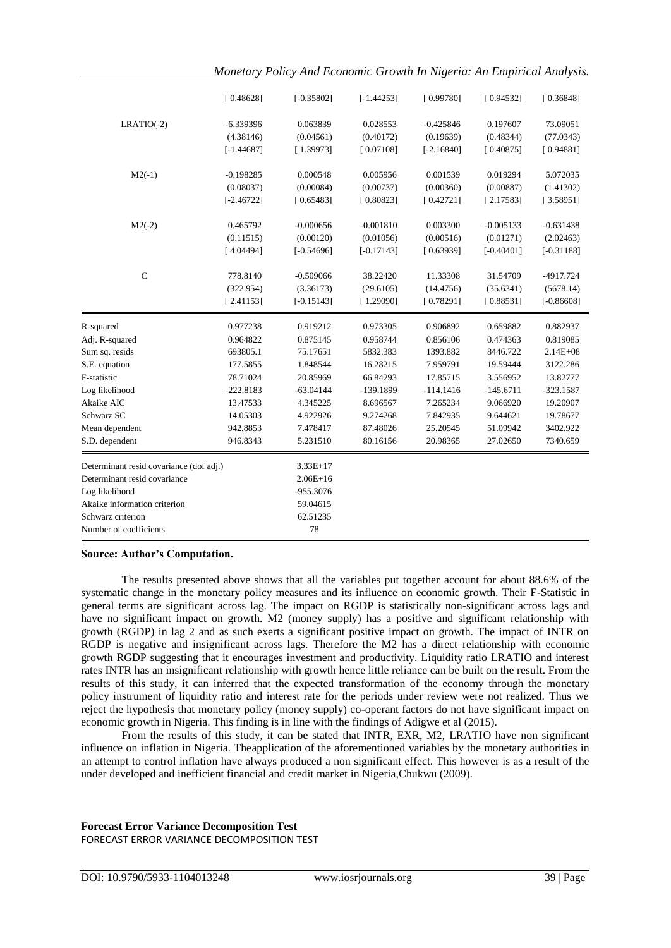| [0.48628]<br>$[-0.35802]$<br>$[-1.44253]$<br>[0.99780]<br>[0.94532]<br>$LRATIO(-2)$<br>0.028553<br>$-0.425846$<br>0.197607<br>$-6.339396$<br>0.063839<br>(4.38146)<br>(0.04561)<br>(0.40172)<br>(0.19639)<br>(0.48344)<br>$[-1.44687]$<br>[1.39973]<br>[0.07108]<br>$[-2.16840]$<br>[0.40875]<br>$M2(-1)$<br>0.001539<br>$-0.198285$<br>0.000548<br>0.005956<br>0.019294<br>(0.08037)<br>(0.00084)<br>(0.00737)<br>(0.00360)<br>(0.00887)<br>$[-2.46722]$<br>[0.65483]<br>[0.80823]<br>[0.42721]<br>[2.17583]<br>$M2(-2)$<br>0.465792<br>$-0.000656$<br>$-0.001810$<br>0.003300<br>$-0.005133$<br>(0.00516)<br>(0.11515)<br>(0.00120)<br>(0.01056)<br>(0.01271)<br>[4.04494]<br>$[-0.54696]$<br>$[-0.17143]$<br>[0.63939]<br>$[-0.40401]$<br>$\mathbf C$<br>778.8140<br>$-0.509066$<br>38.22420<br>11.33308<br>31.54709<br>(322.954)<br>(3.36173)<br>(29.6105)<br>(14.4756)<br>(35.6341)<br>$[-0.15143]$<br>[0.78291]<br>[0.88531]<br>[2.41153]<br>[1.29090]<br>0.977238<br>0.919212<br>0.973305<br>0.906892<br>0.659882<br>R-squared<br>0.856106<br>Adj. R-squared<br>0.964822<br>0.875145<br>0.958744<br>0.474363<br>Sum sq. resids<br>693805.1<br>75.17651<br>5832.383<br>1393.882<br>8446.722<br>S.E. equation<br>177.5855<br>1.848544<br>16.28215<br>7.959791<br>19.59444<br>F-statistic<br>78.71024<br>66.84293<br>17.85715<br>20.85969<br>3.556952<br>Log likelihood<br>$-222.8183$<br>$-63.04144$<br>-139.1899<br>$-114.1416$<br>$-145.6711$<br>Akaike AIC<br>13.47533<br>4.345225<br>8.696567<br>7.265234<br>9.066920<br>Schwarz SC<br>14.05303<br>9.274268<br>7.842935<br>4.922926<br>9.644621<br>Mean dependent<br>942.8853<br>7.478417<br>87.48026<br>25.20545<br>51.09942<br>S.D. dependent<br>946.8343<br>5.231510<br>80.16156<br>20.98365<br>27.02650<br>Determinant resid covariance (dof adj.)<br>$3.33E+17$<br>Determinant resid covariance<br>$2.06E+16$<br>Log likelihood<br>-955.3076<br>Akaike information criterion<br>59.04615<br>62.51235<br>Schwarz criterion |  |  |  |              |
|-----------------------------------------------------------------------------------------------------------------------------------------------------------------------------------------------------------------------------------------------------------------------------------------------------------------------------------------------------------------------------------------------------------------------------------------------------------------------------------------------------------------------------------------------------------------------------------------------------------------------------------------------------------------------------------------------------------------------------------------------------------------------------------------------------------------------------------------------------------------------------------------------------------------------------------------------------------------------------------------------------------------------------------------------------------------------------------------------------------------------------------------------------------------------------------------------------------------------------------------------------------------------------------------------------------------------------------------------------------------------------------------------------------------------------------------------------------------------------------------------------------------------------------------------------------------------------------------------------------------------------------------------------------------------------------------------------------------------------------------------------------------------------------------------------------------------------------------------------------------------------------------------------------------------------------------------------------------------------------------|--|--|--|--------------|
|                                                                                                                                                                                                                                                                                                                                                                                                                                                                                                                                                                                                                                                                                                                                                                                                                                                                                                                                                                                                                                                                                                                                                                                                                                                                                                                                                                                                                                                                                                                                                                                                                                                                                                                                                                                                                                                                                                                                                                                         |  |  |  | [0.36848]    |
|                                                                                                                                                                                                                                                                                                                                                                                                                                                                                                                                                                                                                                                                                                                                                                                                                                                                                                                                                                                                                                                                                                                                                                                                                                                                                                                                                                                                                                                                                                                                                                                                                                                                                                                                                                                                                                                                                                                                                                                         |  |  |  | 73.09051     |
|                                                                                                                                                                                                                                                                                                                                                                                                                                                                                                                                                                                                                                                                                                                                                                                                                                                                                                                                                                                                                                                                                                                                                                                                                                                                                                                                                                                                                                                                                                                                                                                                                                                                                                                                                                                                                                                                                                                                                                                         |  |  |  | (77.0343)    |
|                                                                                                                                                                                                                                                                                                                                                                                                                                                                                                                                                                                                                                                                                                                                                                                                                                                                                                                                                                                                                                                                                                                                                                                                                                                                                                                                                                                                                                                                                                                                                                                                                                                                                                                                                                                                                                                                                                                                                                                         |  |  |  | [0.94881]    |
|                                                                                                                                                                                                                                                                                                                                                                                                                                                                                                                                                                                                                                                                                                                                                                                                                                                                                                                                                                                                                                                                                                                                                                                                                                                                                                                                                                                                                                                                                                                                                                                                                                                                                                                                                                                                                                                                                                                                                                                         |  |  |  | 5.072035     |
|                                                                                                                                                                                                                                                                                                                                                                                                                                                                                                                                                                                                                                                                                                                                                                                                                                                                                                                                                                                                                                                                                                                                                                                                                                                                                                                                                                                                                                                                                                                                                                                                                                                                                                                                                                                                                                                                                                                                                                                         |  |  |  | (1.41302)    |
|                                                                                                                                                                                                                                                                                                                                                                                                                                                                                                                                                                                                                                                                                                                                                                                                                                                                                                                                                                                                                                                                                                                                                                                                                                                                                                                                                                                                                                                                                                                                                                                                                                                                                                                                                                                                                                                                                                                                                                                         |  |  |  | [3.58951]    |
|                                                                                                                                                                                                                                                                                                                                                                                                                                                                                                                                                                                                                                                                                                                                                                                                                                                                                                                                                                                                                                                                                                                                                                                                                                                                                                                                                                                                                                                                                                                                                                                                                                                                                                                                                                                                                                                                                                                                                                                         |  |  |  | $-0.631438$  |
|                                                                                                                                                                                                                                                                                                                                                                                                                                                                                                                                                                                                                                                                                                                                                                                                                                                                                                                                                                                                                                                                                                                                                                                                                                                                                                                                                                                                                                                                                                                                                                                                                                                                                                                                                                                                                                                                                                                                                                                         |  |  |  | (2.02463)    |
|                                                                                                                                                                                                                                                                                                                                                                                                                                                                                                                                                                                                                                                                                                                                                                                                                                                                                                                                                                                                                                                                                                                                                                                                                                                                                                                                                                                                                                                                                                                                                                                                                                                                                                                                                                                                                                                                                                                                                                                         |  |  |  | $[-0.31188]$ |
|                                                                                                                                                                                                                                                                                                                                                                                                                                                                                                                                                                                                                                                                                                                                                                                                                                                                                                                                                                                                                                                                                                                                                                                                                                                                                                                                                                                                                                                                                                                                                                                                                                                                                                                                                                                                                                                                                                                                                                                         |  |  |  | -4917.724    |
|                                                                                                                                                                                                                                                                                                                                                                                                                                                                                                                                                                                                                                                                                                                                                                                                                                                                                                                                                                                                                                                                                                                                                                                                                                                                                                                                                                                                                                                                                                                                                                                                                                                                                                                                                                                                                                                                                                                                                                                         |  |  |  | (5678.14)    |
|                                                                                                                                                                                                                                                                                                                                                                                                                                                                                                                                                                                                                                                                                                                                                                                                                                                                                                                                                                                                                                                                                                                                                                                                                                                                                                                                                                                                                                                                                                                                                                                                                                                                                                                                                                                                                                                                                                                                                                                         |  |  |  | $[-0.86608]$ |
|                                                                                                                                                                                                                                                                                                                                                                                                                                                                                                                                                                                                                                                                                                                                                                                                                                                                                                                                                                                                                                                                                                                                                                                                                                                                                                                                                                                                                                                                                                                                                                                                                                                                                                                                                                                                                                                                                                                                                                                         |  |  |  | 0.882937     |
|                                                                                                                                                                                                                                                                                                                                                                                                                                                                                                                                                                                                                                                                                                                                                                                                                                                                                                                                                                                                                                                                                                                                                                                                                                                                                                                                                                                                                                                                                                                                                                                                                                                                                                                                                                                                                                                                                                                                                                                         |  |  |  | 0.819085     |
|                                                                                                                                                                                                                                                                                                                                                                                                                                                                                                                                                                                                                                                                                                                                                                                                                                                                                                                                                                                                                                                                                                                                                                                                                                                                                                                                                                                                                                                                                                                                                                                                                                                                                                                                                                                                                                                                                                                                                                                         |  |  |  | $2.14E + 08$ |
|                                                                                                                                                                                                                                                                                                                                                                                                                                                                                                                                                                                                                                                                                                                                                                                                                                                                                                                                                                                                                                                                                                                                                                                                                                                                                                                                                                                                                                                                                                                                                                                                                                                                                                                                                                                                                                                                                                                                                                                         |  |  |  |              |
|                                                                                                                                                                                                                                                                                                                                                                                                                                                                                                                                                                                                                                                                                                                                                                                                                                                                                                                                                                                                                                                                                                                                                                                                                                                                                                                                                                                                                                                                                                                                                                                                                                                                                                                                                                                                                                                                                                                                                                                         |  |  |  | 3122.286     |
|                                                                                                                                                                                                                                                                                                                                                                                                                                                                                                                                                                                                                                                                                                                                                                                                                                                                                                                                                                                                                                                                                                                                                                                                                                                                                                                                                                                                                                                                                                                                                                                                                                                                                                                                                                                                                                                                                                                                                                                         |  |  |  | 13.82777     |
|                                                                                                                                                                                                                                                                                                                                                                                                                                                                                                                                                                                                                                                                                                                                                                                                                                                                                                                                                                                                                                                                                                                                                                                                                                                                                                                                                                                                                                                                                                                                                                                                                                                                                                                                                                                                                                                                                                                                                                                         |  |  |  | $-323.1587$  |
|                                                                                                                                                                                                                                                                                                                                                                                                                                                                                                                                                                                                                                                                                                                                                                                                                                                                                                                                                                                                                                                                                                                                                                                                                                                                                                                                                                                                                                                                                                                                                                                                                                                                                                                                                                                                                                                                                                                                                                                         |  |  |  | 19.20907     |
|                                                                                                                                                                                                                                                                                                                                                                                                                                                                                                                                                                                                                                                                                                                                                                                                                                                                                                                                                                                                                                                                                                                                                                                                                                                                                                                                                                                                                                                                                                                                                                                                                                                                                                                                                                                                                                                                                                                                                                                         |  |  |  | 19.78677     |
|                                                                                                                                                                                                                                                                                                                                                                                                                                                                                                                                                                                                                                                                                                                                                                                                                                                                                                                                                                                                                                                                                                                                                                                                                                                                                                                                                                                                                                                                                                                                                                                                                                                                                                                                                                                                                                                                                                                                                                                         |  |  |  | 3402.922     |
|                                                                                                                                                                                                                                                                                                                                                                                                                                                                                                                                                                                                                                                                                                                                                                                                                                                                                                                                                                                                                                                                                                                                                                                                                                                                                                                                                                                                                                                                                                                                                                                                                                                                                                                                                                                                                                                                                                                                                                                         |  |  |  | 7340.659     |
|                                                                                                                                                                                                                                                                                                                                                                                                                                                                                                                                                                                                                                                                                                                                                                                                                                                                                                                                                                                                                                                                                                                                                                                                                                                                                                                                                                                                                                                                                                                                                                                                                                                                                                                                                                                                                                                                                                                                                                                         |  |  |  |              |
|                                                                                                                                                                                                                                                                                                                                                                                                                                                                                                                                                                                                                                                                                                                                                                                                                                                                                                                                                                                                                                                                                                                                                                                                                                                                                                                                                                                                                                                                                                                                                                                                                                                                                                                                                                                                                                                                                                                                                                                         |  |  |  |              |
|                                                                                                                                                                                                                                                                                                                                                                                                                                                                                                                                                                                                                                                                                                                                                                                                                                                                                                                                                                                                                                                                                                                                                                                                                                                                                                                                                                                                                                                                                                                                                                                                                                                                                                                                                                                                                                                                                                                                                                                         |  |  |  |              |
|                                                                                                                                                                                                                                                                                                                                                                                                                                                                                                                                                                                                                                                                                                                                                                                                                                                                                                                                                                                                                                                                                                                                                                                                                                                                                                                                                                                                                                                                                                                                                                                                                                                                                                                                                                                                                                                                                                                                                                                         |  |  |  |              |
| 78<br>Number of coefficients                                                                                                                                                                                                                                                                                                                                                                                                                                                                                                                                                                                                                                                                                                                                                                                                                                                                                                                                                                                                                                                                                                                                                                                                                                                                                                                                                                                                                                                                                                                                                                                                                                                                                                                                                                                                                                                                                                                                                            |  |  |  |              |

*Monetary Policy And Economic Growth In Nigeria: An Empirical Analysis.*

#### **Source: Author's Computation.**

The results presented above shows that all the variables put together account for about 88.6% of the systematic change in the monetary policy measures and its influence on economic growth. Their F-Statistic in general terms are significant across lag. The impact on RGDP is statistically non-significant across lags and have no significant impact on growth. M2 (money supply) has a positive and significant relationship with growth (RGDP) in lag 2 and as such exerts a significant positive impact on growth. The impact of INTR on RGDP is negative and insignificant across lags. Therefore the M2 has a direct relationship with economic growth RGDP suggesting that it encourages investment and productivity. Liquidity ratio LRATIO and interest rates INTR has an insignificant relationship with growth hence little reliance can be built on the result. From the results of this study, it can inferred that the expected transformation of the economy through the monetary policy instrument of liquidity ratio and interest rate for the periods under review were not realized. Thus we reject the hypothesis that monetary policy (money supply) co-operant factors do not have significant impact on economic growth in Nigeria. This finding is in line with the findings of Adigwe et al (2015).

From the results of this study, it can be stated that INTR, EXR, M2, LRATIO have non significant influence on inflation in Nigeria. Theapplication of the aforementioned variables by the monetary authorities in an attempt to control inflation have always produced a non significant effect. This however is as a result of the under developed and inefficient financial and credit market in Nigeria,Chukwu (2009).

## **Forecast Error Variance Decomposition Test** FORECAST ERROR VARIANCE DECOMPOSITION TEST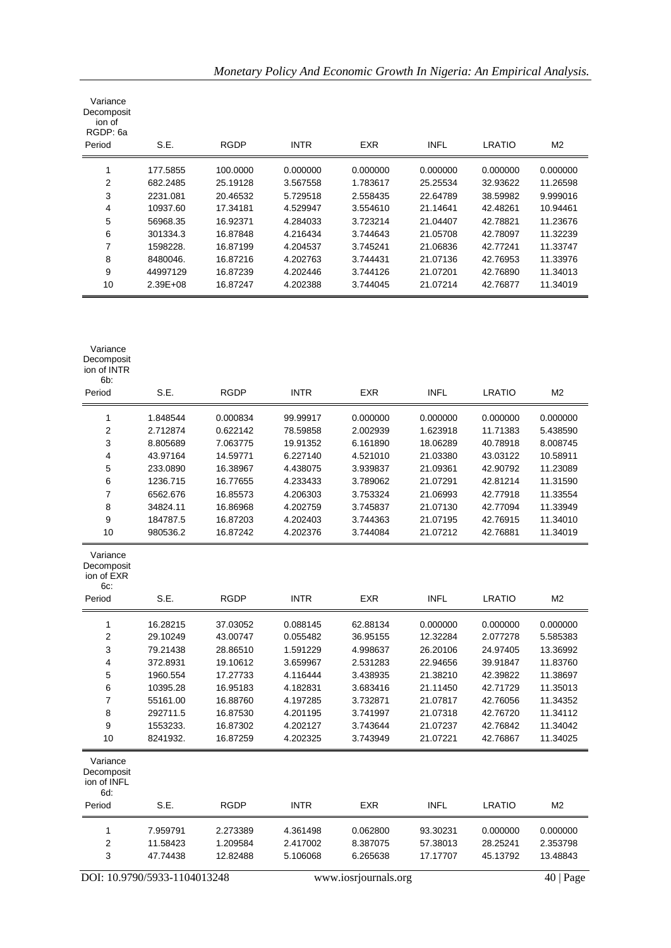| Variance<br>Decomposit<br>ion of<br>RGDP: 6a<br>Period | S.E.         | <b>RGDP</b> | <b>INTR</b> | <b>EXR</b> | <b>INFL</b> | LRATIO   | M2       |
|--------------------------------------------------------|--------------|-------------|-------------|------------|-------------|----------|----------|
|                                                        | 177.5855     | 100.0000    | 0.000000    | 0.000000   | 0.000000    | 0.000000 | 0.000000 |
| 2                                                      | 682.2485     | 25.19128    | 3.567558    | 1.783617   | 25.25534    | 32.93622 | 11.26598 |
| 3                                                      | 2231.081     | 20.46532    | 5.729518    | 2.558435   | 22.64789    | 38.59982 | 9.999016 |
| 4                                                      | 10937.60     | 17.34181    | 4.529947    | 3.554610   | 21.14641    | 42.48261 | 10.94461 |
| 5                                                      | 56968.35     | 16.92371    | 4.284033    | 3.723214   | 21.04407    | 42.78821 | 11.23676 |
| 6                                                      | 301334.3     | 16.87848    | 4.216434    | 3.744643   | 21.05708    | 42.78097 | 11.32239 |
| 7                                                      | 1598228.     | 16.87199    | 4.204537    | 3.745241   | 21.06836    | 42.77241 | 11.33747 |
| 8                                                      | 8480046.     | 16.87216    | 4.202763    | 3.744431   | 21.07136    | 42.76953 | 11.33976 |
| 9                                                      | 44997129     | 16.87239    | 4.202446    | 3.744126   | 21.07201    | 42.76890 | 11.34013 |
| 10                                                     | $2.39E + 08$ | 16.87247    | 4.202388    | 3.744045   | 21.07214    | 42.76877 | 11.34019 |

*Monetary Policy And Economic Growth In Nigeria: An Empirical Analysis.*

| ion of INTR<br>6b:                           |                              |             |             |                      |             |               |                |
|----------------------------------------------|------------------------------|-------------|-------------|----------------------|-------------|---------------|----------------|
| Period                                       | S.E.                         | <b>RGDP</b> | <b>INTR</b> | <b>EXR</b>           | <b>INFL</b> | <b>LRATIO</b> | M <sub>2</sub> |
| 1                                            | 1.848544                     | 0.000834    | 99.99917    | 0.000000             | 0.000000    | 0.000000      | 0.000000       |
| $\overline{2}$                               | 2.712874                     | 0.622142    | 78.59858    | 2.002939             | 1.623918    | 11.71383      | 5.438590       |
| 3                                            | 8.805689                     | 7.063775    | 19.91352    | 6.161890             | 18.06289    | 40.78918      | 8.008745       |
| $\overline{\mathbf{4}}$                      | 43.97164                     | 14.59771    | 6.227140    | 4.521010             | 21.03380    | 43.03122      | 10.58911       |
| 5                                            | 233.0890                     | 16.38967    | 4.438075    | 3.939837             | 21.09361    | 42.90792      | 11.23089       |
| 6                                            | 1236.715                     | 16.77655    | 4.233433    | 3.789062             | 21.07291    | 42.81214      | 11.31590       |
| $\boldsymbol{7}$                             | 6562.676                     | 16.85573    | 4.206303    | 3.753324             | 21.06993    | 42.77918      | 11.33554       |
| 8                                            | 34824.11                     | 16.86968    | 4.202759    | 3.745837             | 21.07130    | 42.77094      | 11.33949       |
| 9                                            | 184787.5                     | 16.87203    | 4.202403    | 3.744363             | 21.07195    | 42.76915      | 11.34010       |
| 10                                           | 980536.2                     | 16.87242    | 4.202376    | 3.744084             | 21.07212    | 42.76881      | 11.34019       |
| Variance<br>Decomposit<br>ion of EXR<br>6c.  |                              |             |             |                      |             |               |                |
| Period                                       | S.E.                         | <b>RGDP</b> | <b>INTR</b> | <b>EXR</b>           | <b>INFL</b> | <b>LRATIO</b> | M <sub>2</sub> |
| 1                                            | 16.28215                     | 37.03052    | 0.088145    | 62.88134             | 0.000000    | 0.000000      | 0.000000       |
| $\overline{2}$                               | 29.10249                     | 43.00747    | 0.055482    | 36.95155             | 12.32284    | 2.077278      | 5.585383       |
| 3                                            | 79.21438                     | 28.86510    | 1.591229    | 4.998637             | 26.20106    | 24.97405      | 13.36992       |
| 4                                            | 372.8931                     | 19.10612    | 3.659967    | 2.531283             | 22.94656    | 39.91847      | 11.83760       |
| 5                                            | 1960.554                     | 17.27733    | 4.116444    | 3.438935             | 21.38210    | 42.39822      | 11.38697       |
| 6                                            | 10395.28                     | 16.95183    | 4.182831    | 3.683416             | 21.11450    | 42.71729      | 11.35013       |
| $\overline{7}$                               | 55161.00                     | 16.88760    | 4.197285    | 3.732871             | 21.07817    | 42.76056      | 11.34352       |
| 8                                            | 292711.5                     | 16.87530    | 4.201195    | 3.741997             | 21.07318    | 42.76720      | 11.34112       |
| 9                                            | 1553233.                     | 16.87302    | 4.202127    | 3.743644             | 21.07237    | 42.76842      | 11.34042       |
| 10                                           | 8241932.                     | 16.87259    | 4.202325    | 3.743949             | 21.07221    | 42.76867      | 11.34025       |
| Variance<br>Decomposit<br>ion of INFL<br>6d: |                              |             |             |                      |             |               |                |
| Period                                       | S.E.                         | <b>RGDP</b> | <b>INTR</b> | <b>EXR</b>           | <b>INFL</b> | <b>LRATIO</b> | M <sub>2</sub> |
| $\mathbf{1}$                                 | 7.959791                     | 2.273389    | 4.361498    | 0.062800             | 93.30231    | 0.000000      | 0.000000       |
| $\overline{2}$                               | 11.58423                     | 1.209584    | 2.417002    | 8.387075             | 57.38013    | 28.25241      | 2.353798       |
| 3                                            | 47.74438                     | 12.82488    | 5.106068    | 6.265638             | 17.17707    | 45.13792      | 13.48843       |
|                                              | DOI: 10.9790/5933-1104013248 |             |             | www.iosrjournals.org |             |               | 40   Page      |

Variance Decomposit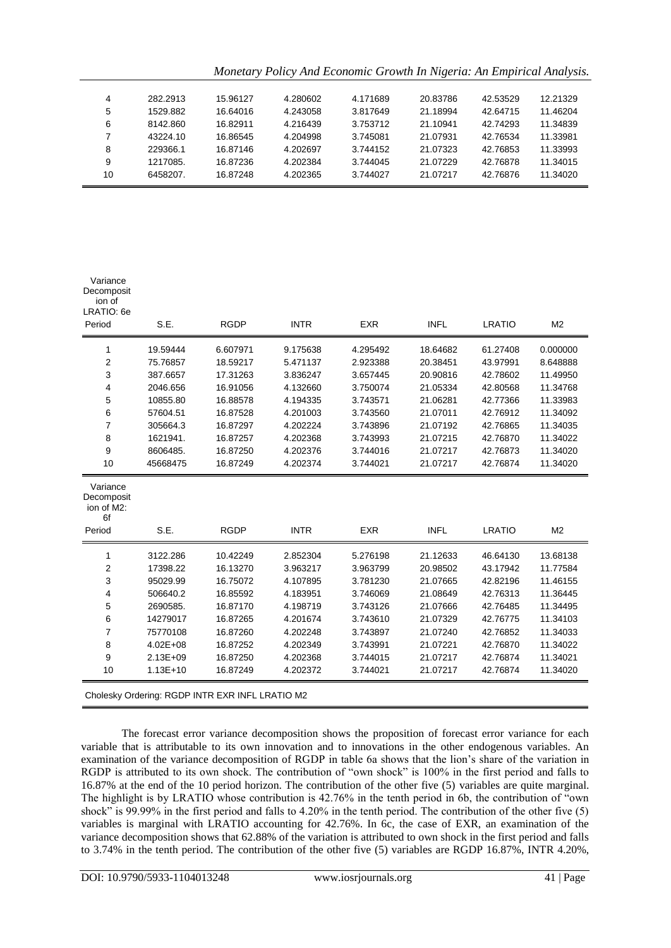*Monetary Policy And Economic Growth In Nigeria: An Empirical Analysis.*

| 4  | 282.2913 | 15.96127 | 4.280602 | 4.171689 | 20.83786 | 42.53529 | 12.21329 |
|----|----------|----------|----------|----------|----------|----------|----------|
| 5  | 1529.882 | 16.64016 | 4.243058 | 3.817649 | 21.18994 | 42.64715 | 11.46204 |
| 6  | 8142.860 | 16.82911 | 4.216439 | 3.753712 | 21.10941 | 42.74293 | 11.34839 |
|    | 43224.10 | 16.86545 | 4.204998 | 3.745081 | 21.07931 | 42.76534 | 11.33981 |
| 8  | 229366.1 | 16.87146 | 4.202697 | 3.744152 | 21.07323 | 42.76853 | 11.33993 |
| 9  | 1217085. | 16.87236 | 4.202384 | 3.744045 | 21.07229 | 42.76878 | 11.34015 |
| 10 | 6458207. | 16.87248 | 4.202365 | 3.744027 | 21.07217 | 42.76876 | 11.34020 |

| Variance<br>Decomposit<br>ion of<br>LRATIO: 6e<br>Period | S.E.         | <b>RGDP</b>                                     | <b>INTR</b> | <b>EXR</b> | <b>INFL</b> | <b>LRATIO</b> | M <sub>2</sub> |
|----------------------------------------------------------|--------------|-------------------------------------------------|-------------|------------|-------------|---------------|----------------|
|                                                          |              |                                                 |             |            |             |               |                |
| 1                                                        | 19.59444     | 6.607971                                        | 9.175638    | 4.295492   | 18.64682    | 61.27408      | 0.000000       |
| 2                                                        | 75.76857     | 18.59217                                        | 5.471137    | 2.923388   | 20.38451    | 43.97991      | 8.648888       |
| 3                                                        | 387.6657     | 17.31263                                        | 3.836247    | 3.657445   | 20.90816    | 42.78602      | 11.49950       |
| 4                                                        | 2046.656     | 16.91056                                        | 4.132660    | 3.750074   | 21.05334    | 42.80568      | 11.34768       |
| 5                                                        | 10855.80     | 16.88578                                        | 4.194335    | 3.743571   | 21.06281    | 42.77366      | 11.33983       |
| 6                                                        | 57604.51     | 16.87528                                        | 4.201003    | 3.743560   | 21.07011    | 42.76912      | 11.34092       |
| $\overline{7}$                                           | 305664.3     | 16.87297                                        | 4.202224    | 3.743896   | 21.07192    | 42.76865      | 11.34035       |
| 8                                                        | 1621941.     | 16.87257                                        | 4.202368    | 3.743993   | 21.07215    | 42.76870      | 11.34022       |
| 9                                                        | 8606485.     | 16.87250                                        | 4.202376    | 3.744016   | 21.07217    | 42.76873      | 11.34020       |
| 10                                                       | 45668475     | 16.87249                                        | 4.202374    | 3.744021   | 21.07217    | 42.76874      | 11.34020       |
| Variance<br>Decomposit<br>ion of M2:<br>6f               |              | <b>RGDP</b>                                     |             | <b>EXR</b> |             |               |                |
| Period                                                   | S.E.         |                                                 | <b>INTR</b> |            | <b>INFL</b> | <b>LRATIO</b> | M <sub>2</sub> |
| 1                                                        | 3122.286     | 10.42249                                        | 2.852304    | 5.276198   | 21.12633    | 46.64130      | 13.68138       |
| 2                                                        | 17398.22     | 16.13270                                        | 3.963217    | 3.963799   | 20.98502    | 43.17942      | 11.77584       |
| 3                                                        | 95029.99     | 16.75072                                        | 4.107895    | 3.781230   | 21.07665    | 42.82196      | 11.46155       |
| 4                                                        | 506640.2     | 16.85592                                        | 4.183951    | 3.746069   | 21.08649    | 42.76313      | 11.36445       |
| 5                                                        | 2690585.     | 16.87170                                        | 4.198719    | 3.743126   | 21.07666    | 42.76485      | 11.34495       |
| 6                                                        | 14279017     | 16.87265                                        | 4.201674    | 3.743610   | 21.07329    | 42.76775      | 11.34103       |
| 7                                                        | 75770108     | 16.87260                                        | 4.202248    | 3.743897   | 21.07240    | 42.76852      | 11.34033       |
| 8                                                        | $4.02E + 08$ | 16.87252                                        | 4.202349    | 3.743991   | 21.07221    | 42.76870      | 11.34022       |
| 9                                                        | $2.13E + 09$ | 16.87250                                        | 4.202368    | 3.744015   | 21.07217    | 42.76874      | 11.34021       |
| 10                                                       | $1.13E+10$   | 16.87249                                        | 4.202372    | 3.744021   | 21.07217    | 42.76874      | 11.34020       |
|                                                          |              | Cholesky Ordering: RGDP INTR EXR INFL LRATIO M2 |             |            |             |               |                |

The forecast error variance decomposition shows the proposition of forecast error variance for each variable that is attributable to its own innovation and to innovations in the other endogenous variables. An examination of the variance decomposition of RGDP in table 6a shows that the lion's share of the variation in RGDP is attributed to its own shock. The contribution of "own shock" is 100% in the first period and falls to 16.87% at the end of the 10 period horizon. The contribution of the other five (5) variables are quite marginal. The highlight is by LRATIO whose contribution is 42.76% in the tenth period in 6b, the contribution of "own shock" is 99.99% in the first period and falls to 4.20% in the tenth period. The contribution of the other five (5) variables is marginal with LRATIO accounting for 42.76%. In 6c, the case of EXR, an examination of the variance decomposition shows that 62.88% of the variation is attributed to own shock in the first period and falls to 3.74% in the tenth period. The contribution of the other five (5) variables are RGDP 16.87%, INTR 4.20%,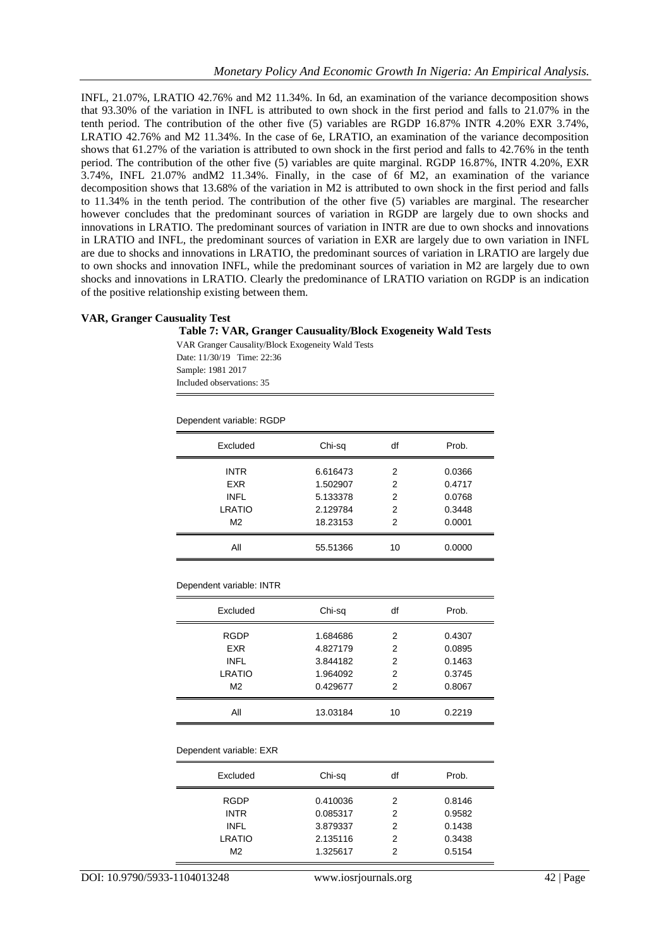INFL, 21.07%, LRATIO 42.76% and M2 11.34%. In 6d, an examination of the variance decomposition shows that 93.30% of the variation in INFL is attributed to own shock in the first period and falls to 21.07% in the tenth period. The contribution of the other five (5) variables are RGDP 16.87% INTR 4.20% EXR 3.74%, LRATIO 42.76% and M2 11.34%. In the case of 6e, LRATIO, an examination of the variance decomposition shows that 61.27% of the variation is attributed to own shock in the first period and falls to 42.76% in the tenth period. The contribution of the other five (5) variables are quite marginal. RGDP 16.87%, INTR 4.20%, EXR 3.74%, INFL 21.07% andM2 11.34%. Finally, in the case of 6f M2, an examination of the variance decomposition shows that 13.68% of the variation in M2 is attributed to own shock in the first period and falls to 11.34% in the tenth period. The contribution of the other five (5) variables are marginal. The researcher however concludes that the predominant sources of variation in RGDP are largely due to own shocks and innovations in LRATIO. The predominant sources of variation in INTR are due to own shocks and innovations in LRATIO and INFL, the predominant sources of variation in EXR are largely due to own variation in INFL are due to shocks and innovations in LRATIO, the predominant sources of variation in LRATIO are largely due to own shocks and innovation INFL, while the predominant sources of variation in M2 are largely due to own shocks and innovations in LRATIO. Clearly the predominance of LRATIO variation on RGDP is an indication of the positive relationship existing between them.

#### **VAR, Granger Causuality Test**

#### **Table 7: VAR, Granger Causuality/Block Exogeneity Wald Tests**

VAR Granger Causality/Block Exogeneity Wald Tests Date: 11/30/19 Time: 22:36 Sample: 1981 2017 Included observations: 35

Dependent variable: RGDP

| Excluded       | Chi-sq   | df | Prob.  |
|----------------|----------|----|--------|
| <b>INTR</b>    | 6.616473 | 2  | 0.0366 |
| <b>EXR</b>     | 1.502907 | 2  | 0.4717 |
| <b>INFL</b>    | 5.133378 | 2  | 0.0768 |
| <b>LRATIO</b>  | 2.129784 | 2  | 0.3448 |
| M <sub>2</sub> | 18.23153 | 2  | 0.0001 |
| All            | 55.51366 | 10 | 0.0000 |
|                |          |    |        |

Dependent variable: INTR

| Excluded       | Chi-sq   | df | Prob.  |
|----------------|----------|----|--------|
| <b>RGDP</b>    | 1.684686 | 2  | 0.4307 |
| <b>EXR</b>     | 4.827179 | 2  | 0.0895 |
| <b>INFL</b>    | 3.844182 | 2  | 0.1463 |
| LRATIO         | 1.964092 | 2  | 0.3745 |
| M <sub>2</sub> | 0.429677 | 2  | 0.8067 |
| All            | 13.03184 | 10 | 0.2219 |

#### Dependent variable: EXR

| Excluded       | Chi-sq   | df | Prob.  |
|----------------|----------|----|--------|
| <b>RGDP</b>    | 0.410036 | 2  | 0.8146 |
| <b>INTR</b>    | 0.085317 | 2  | 0.9582 |
| <b>INFL</b>    | 3.879337 | 2  | 0.1438 |
| <b>LRATIO</b>  | 2.135116 | 2  | 0.3438 |
| M <sub>2</sub> | 1.325617 | 2  | 0.5154 |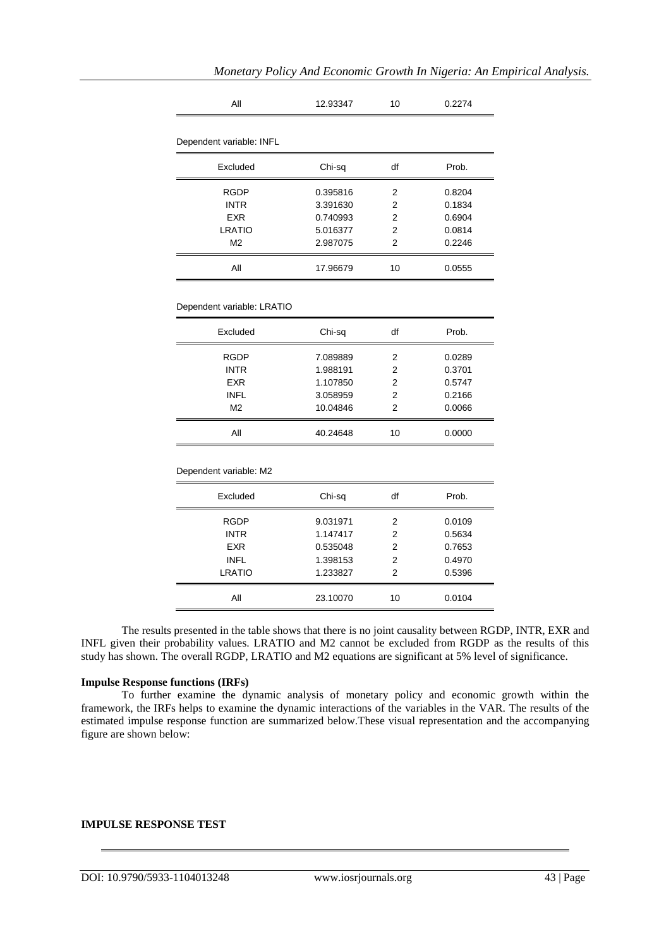| All                        | 12.93347 | 10             | 0.2274 |
|----------------------------|----------|----------------|--------|
| Dependent variable: INFL   |          |                |        |
|                            |          |                |        |
| Excluded                   | Chi-sq   | df             | Prob.  |
| <b>RGDP</b>                | 0.395816 | 2              | 0.8204 |
| <b>INTR</b>                | 3.391630 | 2              | 0.1834 |
| <b>EXR</b>                 | 0.740993 | 2              | 0.6904 |
| <b>LRATIO</b>              | 5.016377 | 2              | 0.0814 |
| M <sub>2</sub>             | 2.987075 | $\overline{2}$ | 0.2246 |
| All                        | 17.96679 | 10             | 0.0555 |
|                            |          |                |        |
| Dependent variable: LRATIO |          |                |        |
| Excluded                   | Chi-sq   | df             | Prob.  |
| RGDP                       | 7.089889 | 2              | 0.0289 |
| <b>INTR</b>                | 1.988191 | 2              | 0.3701 |
| <b>EXR</b>                 | 1.107850 | 2              | 0.5747 |
| <b>INFL</b>                | 3.058959 | 2              | 0.2166 |
| M <sub>2</sub>             | 10.04846 | 2              | 0.0066 |
| All                        | 40.24648 | 10             | 0.0000 |
| Dependent variable: M2     |          |                |        |
| Excluded                   | Chi-sq   | df             | Prob.  |
| <b>RGDP</b>                | 9.031971 | 2              | 0.0109 |
| <b>INTR</b>                | 1.147417 | 2              | 0.5634 |
| <b>EXR</b>                 | 0.535048 | 2              | 0.7653 |
| <b>INFL</b>                | 1.398153 | 2              | 0.4970 |
| <b>LRATIO</b>              | 1.233827 | 2              | 0.5396 |
| All                        | 23.10070 | 10             | 0.0104 |

The results presented in the table shows that there is no joint causality between RGDP, INTR, EXR and INFL given their probability values. LRATIO and M2 cannot be excluded from RGDP as the results of this study has shown. The overall RGDP, LRATIO and M2 equations are significant at 5% level of significance.

#### **Impulse Response functions (IRFs)**

To further examine the dynamic analysis of monetary policy and economic growth within the framework, the IRFs helps to examine the dynamic interactions of the variables in the VAR. The results of the estimated impulse response function are summarized below.These visual representation and the accompanying figure are shown below:

## **IMPULSE RESPONSE TEST**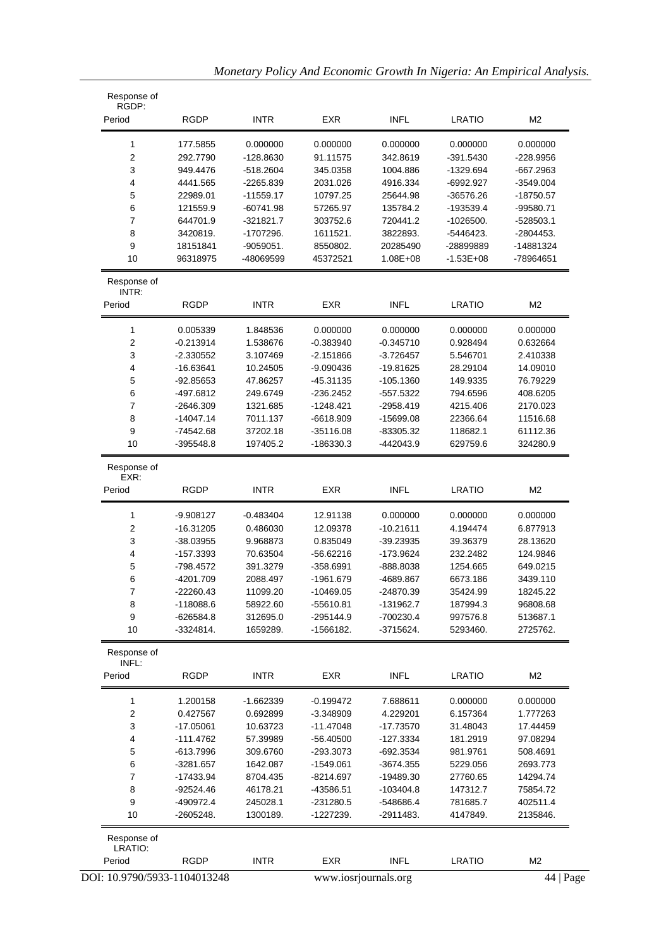| Response of<br>RGDP:    |             |             |             |              |               |                |
|-------------------------|-------------|-------------|-------------|--------------|---------------|----------------|
| Period                  | <b>RGDP</b> | <b>INTR</b> | EXR         | <b>INFL</b>  | <b>LRATIO</b> | M <sub>2</sub> |
| 1                       | 177.5855    | 0.000000    | 0.000000    | 0.000000     | 0.000000      | 0.000000       |
| $\overline{\mathbf{c}}$ | 292.7790    | $-128.8630$ | 91.11575    | 342.8619     | $-391.5430$   | -228.9956      |
| 3                       | 949.4476    | $-518.2604$ | 345.0358    | 1004.886     | -1329.694     | $-667.2963$    |
| 4                       | 4441.565    | $-2265.839$ | 2031.026    | 4916.334     | $-6992.927$   | $-3549.004$    |
| 5                       | 22989.01    | $-11559.17$ | 10797.25    | 25644.98     | -36576.26     | $-18750.57$    |
| 6                       | 121559.9    | $-60741.98$ | 57265.97    | 135784.2     | -193539.4     | -99580.71      |
| 7                       | 644701.9    | $-321821.7$ | 303752.6    | 720441.2     | $-1026500.$   | $-528503.1$    |
| 8                       | 3420819.    | -1707296.   | 1611521.    | 3822893.     | -5446423.     | -2804453.      |
| 9                       | 18151841    | $-9059051.$ | 8550802.    | 20285490     | -28899889     | -14881324      |
| 10                      | 96318975    | -48069599   | 45372521    | $1.08E + 08$ | $-1.53E + 08$ | -78964651      |
| Response of             |             |             |             |              |               |                |
| INTR:<br>Period         | <b>RGDP</b> | <b>INTR</b> | EXR         | <b>INFL</b>  | <b>LRATIO</b> | M2             |
|                         |             |             |             |              |               |                |
| 1                       | 0.005339    | 1.848536    | 0.000000    | 0.000000     | 0.000000      | 0.000000       |
| 2                       | $-0.213914$ | 1.538676    | $-0.383940$ | $-0.345710$  | 0.928494      | 0.632664       |
| 3                       | $-2.330552$ | 3.107469    | $-2.151866$ | $-3.726457$  | 5.546701      | 2.410338       |
| 4                       | $-16.63641$ | 10.24505    | $-9.090436$ | $-19.81625$  | 28.29104      | 14.09010       |
| 5                       | $-92.85653$ | 47.86257    | $-45.31135$ | $-105.1360$  | 149.9335      | 76.79229       |
| 6                       | -497.6812   | 249.6749    | $-236.2452$ | -557.5322    | 794.6596      | 408.6205       |
| 7                       | $-2646.309$ | 1321.685    | $-1248.421$ | $-2958.419$  | 4215.406      | 2170.023       |
| 8                       | $-14047.14$ | 7011.137    | $-6618.909$ | $-15699.08$  | 22366.64      | 11516.68       |
| 9                       | $-74542.68$ | 37202.18    | $-35116.08$ | -83305.32    | 118682.1      | 61112.36       |
| 10                      | $-395548.8$ | 197405.2    | -186330.3   | -442043.9    | 629759.6      | 324280.9       |
| Response of<br>EXR:     |             |             |             |              |               |                |
| Period                  | <b>RGDP</b> | <b>INTR</b> | EXR         | <b>INFL</b>  | <b>LRATIO</b> | M <sub>2</sub> |
| 1                       | $-9.908127$ | $-0.483404$ | 12.91138    | 0.000000     | 0.000000      | 0.000000       |
| $\overline{\mathbf{c}}$ | $-16.31205$ | 0.486030    | 12.09378    | $-10.21611$  | 4.194474      | 6.877913       |
| 3                       | $-38.03955$ | 9.968873    | 0.835049    | -39.23935    | 39.36379      | 28.13620       |
| 4                       | $-157.3393$ | 70.63504    | $-56.62216$ | $-173.9624$  | 232.2482      | 124.9846       |
| 5                       | -798.4572   | 391.3279    | $-358.6991$ | -888.8038    | 1254.665      | 649.0215       |
| 6                       | $-4201.709$ | 2088.497    | $-1961.679$ | -4689.867    | 6673.186      | 3439.110       |
| 7                       | $-22260.43$ | 11099.20    | $-10469.05$ | $-24870.39$  | 35424.99      | 18245.22       |
| 8                       | $-118088.6$ | 58922.60    | -55610.81   | -131962.7    | 187994.3      | 96808.68       |
| 9                       | $-626584.8$ | 312695.0    | $-295144.9$ | -700230.4    | 997576.8      | 513687.1       |
| 10                      | $-3324814.$ | 1659289.    | -1566182.   | $-3715624.$  | 5293460.      | 2725762.       |
| Response of<br>INFL:    |             |             |             |              |               |                |
| Period                  | <b>RGDP</b> | <b>INTR</b> | <b>EXR</b>  | <b>INFL</b>  | <b>LRATIO</b> | M <sub>2</sub> |
| 1                       | 1.200158    | $-1.662339$ | $-0.199472$ | 7.688611     | 0.000000      | 0.000000       |
| 2                       | 0.427567    | 0.692899    | $-3.348909$ | 4.229201     | 6.157364      | 1.777263       |
| 3                       | $-17.05061$ | 10.63723    | $-11.47048$ | $-17.73570$  | 31.48043      | 17.44459       |
| 4                       | $-111.4762$ | 57.39989    | -56.40500   | -127.3334    | 181.2919      | 97.08294       |
| 5                       | $-613.7996$ | 309.6760    | -293.3073   | $-692.3534$  | 981.9761      | 508.4691       |
| 6                       | $-3281.657$ | 1642.087    | $-1549.061$ | $-3674.355$  | 5229.056      | 2693.773       |
| 7                       | $-17433.94$ | 8704.435    | $-8214.697$ | -19489.30    | 27760.65      | 14294.74       |
| 8                       | $-92524.46$ | 46178.21    | -43586.51   | $-103404.8$  | 147312.7      | 75854.72       |
| 9                       | -490972.4   | 245028.1    | $-231280.5$ | -548686.4    | 781685.7      | 402511.4       |
| 10                      | $-2605248.$ | 1300189.    | -1227239.   | $-2911483.$  | 4147849.      | 2135846.       |
| Response of             |             |             |             |              |               |                |
| LRATIO:<br>Period       | <b>RGDP</b> |             |             |              |               |                |
|                         |             | <b>INTR</b> | <b>EXR</b>  | <b>INFL</b>  | <b>LRATIO</b> | M2             |

|  | Monetary Policy And Economic Growth In Nigeria: An Empirical Analysis. |  |  |  |
|--|------------------------------------------------------------------------|--|--|--|
|  |                                                                        |  |  |  |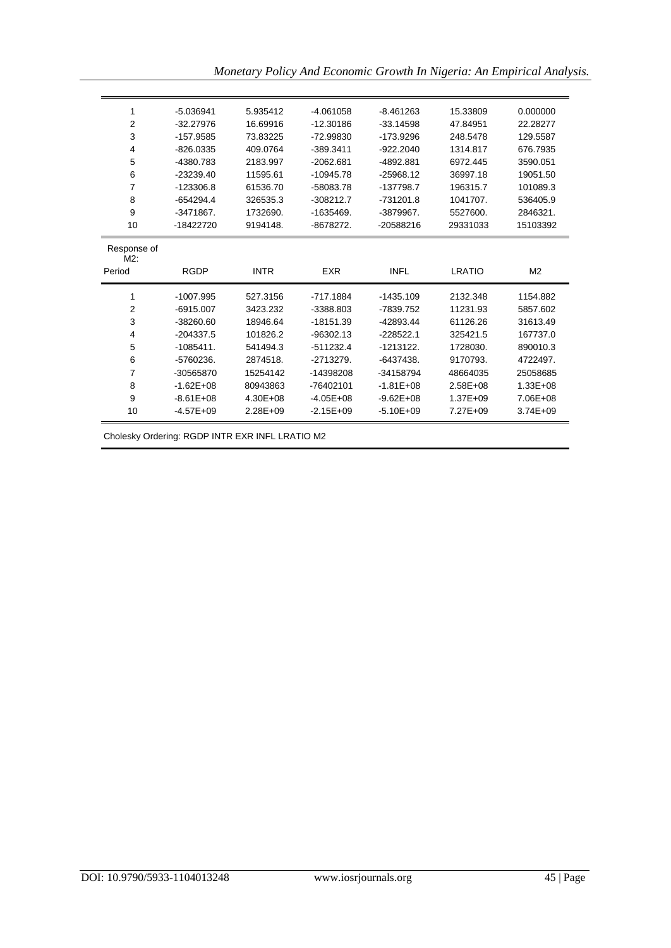|  | Monetary Policy And Economic Growth In Nigeria: An Empirical Analysis. |  |  |  |
|--|------------------------------------------------------------------------|--|--|--|
|  |                                                                        |  |  |  |

| 1                     | $-5.036941$   | 5.935412     | $-4.061058$   | $-8.461263$   | 15.33809     | 0.000000       |
|-----------------------|---------------|--------------|---------------|---------------|--------------|----------------|
| $\overline{2}$        | $-32.27976$   | 16.69916     | $-12.30186$   | $-33.14598$   | 47.84951     | 22.28277       |
| 3                     | $-157.9585$   | 73.83225     | $-72.99830$   | $-173.9296$   | 248.5478     | 129.5587       |
| 4                     | $-826.0335$   | 409.0764     | $-389.3411$   | $-922.2040$   | 1314.817     | 676.7935       |
| 5                     | -4380.783     | 2183.997     | $-2062.681$   | -4892.881     | 6972.445     | 3590.051       |
| 6                     | $-23239.40$   | 11595.61     | $-10945.78$   | $-25968.12$   | 36997.18     | 19051.50       |
| 7                     | $-123306.8$   | 61536.70     | -58083.78     | $-137798.7$   | 196315.7     | 101089.3       |
| 8                     | $-654294.4$   | 326535.3     | $-308212.7$   | $-731201.8$   | 1041707.     | 536405.9       |
| 9                     | $-3471867.$   | 1732690.     | $-1635469.$   | $-3879967.$   | 5527600.     | 2846321.       |
| 10                    | -18422720     | 9194148.     | $-8678272.$   | $-20588216$   | 29331033     | 15103392       |
| Response of<br>$M2$ : |               |              |               |               |              |                |
| Period                | <b>RGDP</b>   | <b>INTR</b>  | <b>EXR</b>    | <b>INFL</b>   | LRATIO       | M <sub>2</sub> |
| 1                     | $-1007.995$   | 527.3156     | $-717.1884$   | $-1435.109$   | 2132.348     | 1154.882       |
| $\overline{2}$        | $-6915.007$   | 3423.232     | $-3388.803$   | -7839.752     | 11231.93     | 5857.602       |
| 3                     | $-38260.60$   | 18946.64     | $-18151.39$   | -42893.44     | 61126.26     | 31613.49       |
| 4                     | $-204337.5$   | 101826.2     | $-96302.13$   | $-228522.1$   | 325421.5     | 167737.0       |
| 5                     | $-1085411.$   | 541494.3     | $-511232.4$   | $-1213122.$   | 1728030.     | 890010.3       |
| 6                     | $-5760236.$   | 2874518.     | $-2713279.$   | $-6437438.$   | 9170793.     | 4722497.       |
| 7                     | -30565870     | 15254142     | -14398208     | -34158794     | 48664035     | 25058685       |
| 8                     | $-1.62E + 08$ | 80943863     | -76402101     | $-1.81E + 08$ | $2.58E + 08$ | $1.33E + 08$   |
| 9                     | $-8.61E + 08$ | $4.30E + 08$ | $-4.05E + 08$ | $-9.62E + 08$ | $1.37E + 09$ | 7.06E+08       |
| 10                    | $-4.57E+09$   | $2.28E + 09$ | $-2.15E+09$   | $-5.10E + 09$ | 7.27E+09     | $3.74E + 09$   |

Cholesky Ordering: RGDP INTR EXR INFL LRATIO M2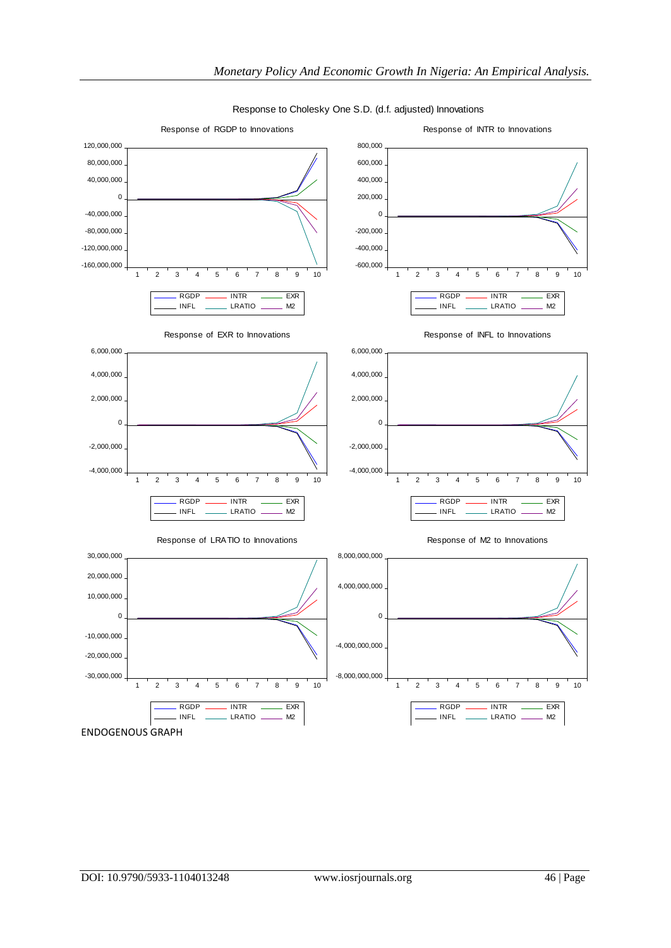

Response to Cholesky One S.D. (d.f. adjusted) Innovations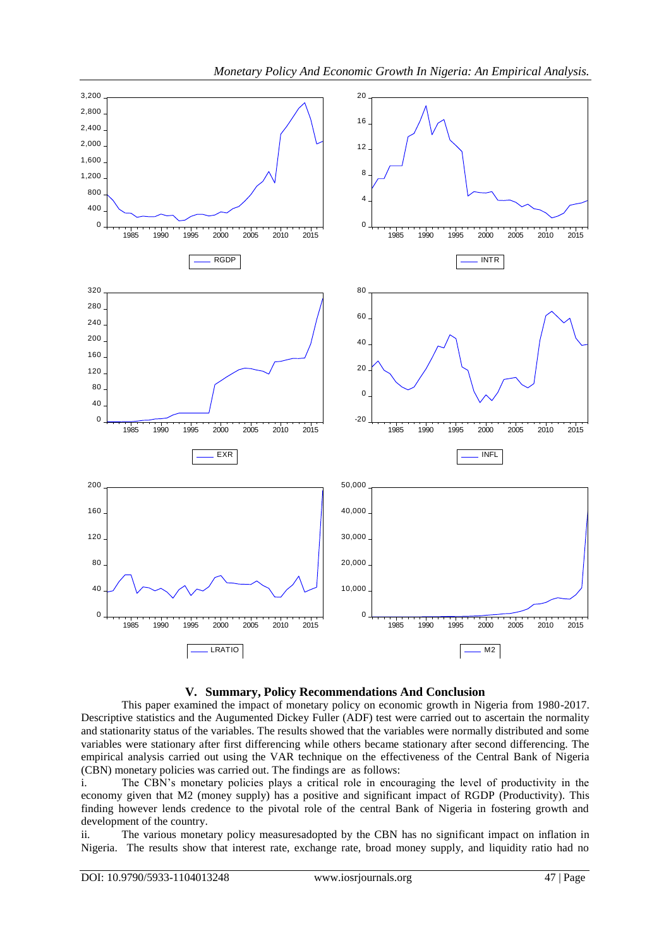



This paper examined the impact of monetary policy on economic growth in Nigeria from 1980-2017. Descriptive statistics and the Augumented Dickey Fuller (ADF) test were carried out to ascertain the normality and stationarity status of the variables. The results showed that the variables were normally distributed and some variables were stationary after first differencing while others became stationary after second differencing. The empirical analysis carried out using the VAR technique on the effectiveness of the Central Bank of Nigeria (CBN) monetary policies was carried out. The findings are as follows:

i. The CBN's monetary policies plays a critical role in encouraging the level of productivity in the economy given that M2 (money supply) has a positive and significant impact of RGDP (Productivity). This finding however lends credence to the pivotal role of the central Bank of Nigeria in fostering growth and development of the country.

ii. The various monetary policy measuresadopted by the CBN has no significant impact on inflation in Nigeria. The results show that interest rate, exchange rate, broad money supply, and liquidity ratio had no